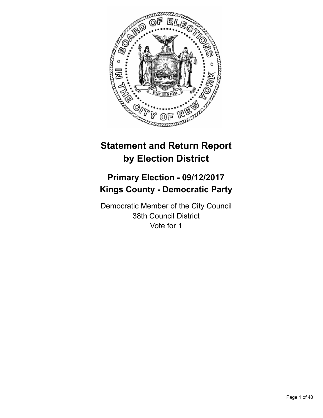

# **Statement and Return Report by Election District**

# **Primary Election - 09/12/2017 Kings County - Democratic Party**

Democratic Member of the City Council 38th Council District Vote for 1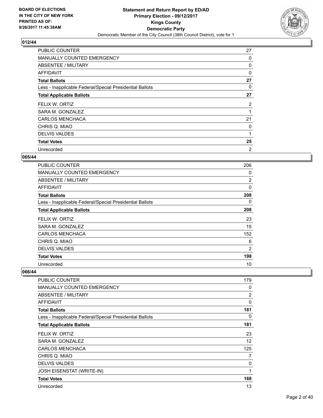

| <b>PUBLIC COUNTER</b>                                    | 27 |
|----------------------------------------------------------|----|
| <b>MANUALLY COUNTED EMERGENCY</b>                        | 0  |
| ABSENTEE / MILITARY                                      | 0  |
| AFFIDAVIT                                                | 0  |
| <b>Total Ballots</b>                                     | 27 |
| Less - Inapplicable Federal/Special Presidential Ballots | 0  |
| <b>Total Applicable Ballots</b>                          | 27 |
| FELIX W. ORTIZ                                           | 2  |
| SARA M. GONZALEZ                                         | 1  |
| <b>CARLOS MENCHACA</b>                                   | 21 |
| CHRIS Q. MIAO                                            | 0  |
|                                                          |    |
| <b>DELVIS VALDES</b>                                     | 1  |
| <b>Total Votes</b>                                       | 25 |

## **065/44**

| <b>PUBLIC COUNTER</b>                                    | 206            |
|----------------------------------------------------------|----------------|
| MANUALLY COUNTED EMERGENCY                               | 0              |
| ABSENTEE / MILITARY                                      | $\overline{2}$ |
| <b>AFFIDAVIT</b>                                         | 0              |
| <b>Total Ballots</b>                                     | 208            |
| Less - Inapplicable Federal/Special Presidential Ballots | 0              |
| <b>Total Applicable Ballots</b>                          | 208            |
| FELIX W. ORTIZ                                           | 23             |
| SARA M. GONZALEZ                                         | 15             |
| <b>CARLOS MENCHACA</b>                                   | 152            |
| CHRIS Q. MIAO                                            | 6              |
| <b>DELVIS VALDES</b>                                     | 2              |
| <b>Total Votes</b>                                       | 198            |
| Unrecorded                                               | 10             |

| PUBLIC COUNTER                                           | 179 |
|----------------------------------------------------------|-----|
| <b>MANUALLY COUNTED EMERGENCY</b>                        | 0   |
| ABSENTEE / MILITARY                                      | 2   |
| AFFIDAVIT                                                | 0   |
| <b>Total Ballots</b>                                     | 181 |
| Less - Inapplicable Federal/Special Presidential Ballots | 0   |
| <b>Total Applicable Ballots</b>                          | 181 |
| FELIX W. ORTIZ                                           | 23  |
| SARA M. GONZALEZ                                         | 12  |
| <b>CARLOS MENCHACA</b>                                   | 125 |
| CHRIS Q. MIAO                                            | 7   |
| <b>DELVIS VALDES</b>                                     | 0   |
| <b>JOSH EISENSTAT (WRITE-IN)</b>                         | 1   |
| <b>Total Votes</b>                                       | 168 |
| Unrecorded                                               | 13  |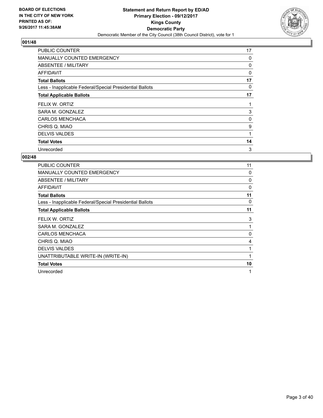

| <b>PUBLIC COUNTER</b>                                    | 17 |
|----------------------------------------------------------|----|
| <b>MANUALLY COUNTED EMERGENCY</b>                        | 0  |
| ABSENTEE / MILITARY                                      | 0  |
| AFFIDAVIT                                                | 0  |
| <b>Total Ballots</b>                                     | 17 |
| Less - Inapplicable Federal/Special Presidential Ballots | 0  |
| <b>Total Applicable Ballots</b>                          | 17 |
| FELIX W. ORTIZ                                           | 1  |
| SARA M. GONZALEZ                                         | 3  |
| <b>CARLOS MENCHACA</b>                                   | 0  |
| CHRIS Q. MIAO                                            | 9  |
| <b>DELVIS VALDES</b>                                     |    |
| <b>Total Votes</b>                                       | 14 |
| Unrecorded                                               | 3  |

| <b>PUBLIC COUNTER</b>                                    | 11       |
|----------------------------------------------------------|----------|
| <b>MANUALLY COUNTED EMERGENCY</b>                        | 0        |
| <b>ABSENTEE / MILITARY</b>                               | 0        |
| <b>AFFIDAVIT</b>                                         | 0        |
| <b>Total Ballots</b>                                     | 11       |
| Less - Inapplicable Federal/Special Presidential Ballots | $\Omega$ |
| <b>Total Applicable Ballots</b>                          | 11       |
| FELIX W. ORTIZ                                           | 3        |
| SARA M. GONZALEZ                                         | 1        |
| <b>CARLOS MENCHACA</b>                                   | 0        |
| CHRIS Q. MIAO                                            | 4        |
| <b>DELVIS VALDES</b>                                     | 1        |
| UNATTRIBUTABLE WRITE-IN (WRITE-IN)                       | 1        |
| <b>Total Votes</b>                                       | 10       |
| Unrecorded                                               | 1        |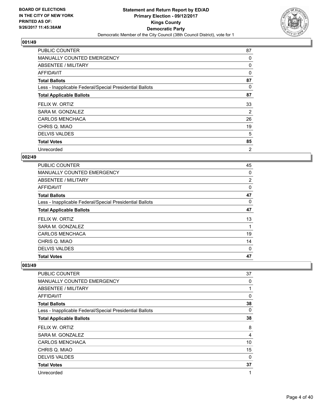

| <b>PUBLIC COUNTER</b>                                    | 87             |
|----------------------------------------------------------|----------------|
| <b>MANUALLY COUNTED EMERGENCY</b>                        | 0              |
| <b>ABSENTEE / MILITARY</b>                               | 0              |
| AFFIDAVIT                                                | 0              |
| <b>Total Ballots</b>                                     | 87             |
| Less - Inapplicable Federal/Special Presidential Ballots | 0              |
| <b>Total Applicable Ballots</b>                          | 87             |
| FELIX W. ORTIZ                                           | 33             |
| SARA M. GONZALEZ                                         | 2              |
| <b>CARLOS MENCHACA</b>                                   | 26             |
| CHRIS Q. MIAO                                            | 19             |
| <b>DELVIS VALDES</b>                                     | 5              |
| <b>Total Votes</b>                                       | 85             |
| Unrecorded                                               | $\overline{2}$ |

## **002/49**

| SARA M. GONZALEZ<br><b>CARLOS MENCHACA</b>               | 19             |
|----------------------------------------------------------|----------------|
| FELIX W. ORTIZ                                           | 13             |
| <b>Total Applicable Ballots</b>                          | 47             |
| Less - Inapplicable Federal/Special Presidential Ballots | 0              |
| <b>Total Ballots</b>                                     | 47             |
| AFFIDAVIT                                                | 0              |
| ABSENTEE / MILITARY                                      | $\overline{2}$ |
| <b>MANUALLY COUNTED EMERGENCY</b>                        | 0              |
| PUBLIC COUNTER                                           | 45             |

| <b>PUBLIC COUNTER</b>                                    | 37 |
|----------------------------------------------------------|----|
| MANUALLY COUNTED EMERGENCY                               | 0  |
| ABSENTEE / MILITARY                                      | 1  |
| <b>AFFIDAVIT</b>                                         | 0  |
| <b>Total Ballots</b>                                     | 38 |
| Less - Inapplicable Federal/Special Presidential Ballots | 0  |
| <b>Total Applicable Ballots</b>                          | 38 |
| FELIX W. ORTIZ                                           | 8  |
| SARA M. GONZALEZ                                         | 4  |
| <b>CARLOS MENCHACA</b>                                   | 10 |
| CHRIS Q. MIAO                                            | 15 |
| <b>DELVIS VALDES</b>                                     | 0  |
| <b>Total Votes</b>                                       | 37 |
| Unrecorded                                               | 1  |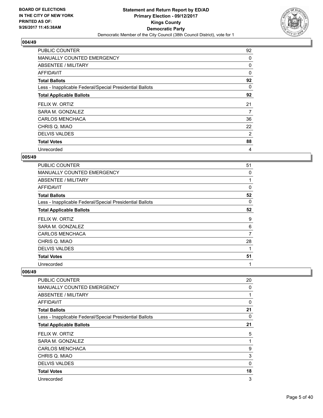

| <b>PUBLIC COUNTER</b>                                    | 92 |
|----------------------------------------------------------|----|
| MANUALLY COUNTED EMERGENCY                               | 0  |
| ABSENTEE / MILITARY                                      | 0  |
| <b>AFFIDAVIT</b>                                         | 0  |
| <b>Total Ballots</b>                                     | 92 |
| Less - Inapplicable Federal/Special Presidential Ballots | 0  |
| <b>Total Applicable Ballots</b>                          | 92 |
| FELIX W. ORTIZ                                           | 21 |
| SARA M. GONZALEZ                                         | 7  |
| <b>CARLOS MENCHACA</b>                                   | 36 |
| CHRIS Q. MIAO                                            | 22 |
| <b>DELVIS VALDES</b>                                     | 2  |
| <b>Total Votes</b>                                       | 88 |
| Unrecorded                                               | 4  |

## **005/49**

| <b>PUBLIC COUNTER</b>                                    | 51 |
|----------------------------------------------------------|----|
| <b>MANUALLY COUNTED EMERGENCY</b>                        | 0  |
| ABSENTEE / MILITARY                                      |    |
| AFFIDAVIT                                                | 0  |
| <b>Total Ballots</b>                                     | 52 |
| Less - Inapplicable Federal/Special Presidential Ballots | 0  |
| <b>Total Applicable Ballots</b>                          | 52 |
| FELIX W. ORTIZ                                           | 9  |
| SARA M. GONZALEZ                                         | 6  |
| <b>CARLOS MENCHACA</b>                                   | 7  |
| CHRIS Q. MIAO                                            | 28 |
| <b>DELVIS VALDES</b>                                     | 1  |
| <b>Total Votes</b>                                       | 51 |
|                                                          |    |

| PUBLIC COUNTER                                           | 20       |
|----------------------------------------------------------|----------|
| MANUALLY COUNTED EMERGENCY                               | 0        |
| ABSENTEE / MILITARY                                      | 1        |
| AFFIDAVIT                                                | $\Omega$ |
| <b>Total Ballots</b>                                     | 21       |
| Less - Inapplicable Federal/Special Presidential Ballots | 0        |
| <b>Total Applicable Ballots</b>                          | 21       |
| FELIX W. ORTIZ                                           | 5        |
| SARA M. GONZALEZ                                         | 1        |
| <b>CARLOS MENCHACA</b>                                   | 9        |
| CHRIS Q. MIAO                                            | 3        |
| <b>DELVIS VALDES</b>                                     | $\Omega$ |
| <b>Total Votes</b>                                       | 18       |
| Unrecorded                                               | 3        |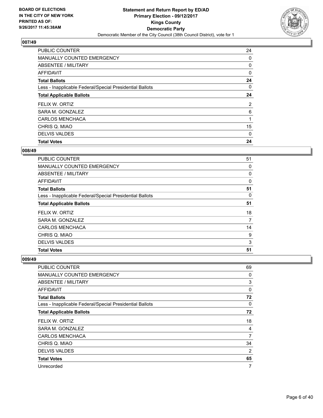

| <b>PUBLIC COUNTER</b>                                    | 24             |
|----------------------------------------------------------|----------------|
| MANUALLY COUNTED EMERGENCY                               | 0              |
| ABSENTEE / MILITARY                                      | 0              |
| AFFIDAVIT                                                | 0              |
| <b>Total Ballots</b>                                     | 24             |
| Less - Inapplicable Federal/Special Presidential Ballots | 0              |
| <b>Total Applicable Ballots</b>                          | 24             |
| FELIX W. ORTIZ                                           | $\overline{2}$ |
| SARA M. GONZALEZ                                         | 6              |
| <b>CARLOS MENCHACA</b>                                   |                |
| CHRIS Q. MIAO                                            | 15             |
| <b>DELVIS VALDES</b>                                     | 0              |
| <b>Total Votes</b>                                       | 24             |

#### **008/49**

| PUBLIC COUNTER                                           | 51 |
|----------------------------------------------------------|----|
| <b>MANUALLY COUNTED EMERGENCY</b>                        | 0  |
| ABSENTEE / MILITARY                                      | 0  |
| AFFIDAVIT                                                | 0  |
| <b>Total Ballots</b>                                     | 51 |
| Less - Inapplicable Federal/Special Presidential Ballots | 0  |
| <b>Total Applicable Ballots</b>                          | 51 |
| FELIX W. ORTIZ                                           | 18 |
| SARA M. GONZALEZ                                         | 7  |
| <b>CARLOS MENCHACA</b>                                   | 14 |
| CHRIS Q. MIAO                                            | 9  |
| <b>DELVIS VALDES</b>                                     | 3  |
| <b>Total Votes</b>                                       | 51 |

| PUBLIC COUNTER                                           | 69 |
|----------------------------------------------------------|----|
| <b>MANUALLY COUNTED EMERGENCY</b>                        | 0  |
| ABSENTEE / MILITARY                                      | 3  |
| AFFIDAVIT                                                | 0  |
| <b>Total Ballots</b>                                     | 72 |
| Less - Inapplicable Federal/Special Presidential Ballots | 0  |
| <b>Total Applicable Ballots</b>                          | 72 |
| FELIX W. ORTIZ                                           | 18 |
| SARA M. GONZALEZ                                         | 4  |
| <b>CARLOS MENCHACA</b>                                   | 7  |
| CHRIS Q. MIAO                                            | 34 |
| <b>DELVIS VALDES</b>                                     | 2  |
| <b>Total Votes</b>                                       | 65 |
| Unrecorded                                               | 7  |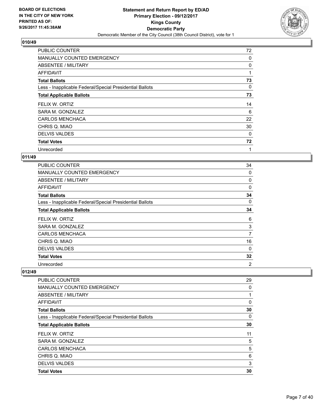

| <b>PUBLIC COUNTER</b>                                    | 72 |
|----------------------------------------------------------|----|
| <b>MANUALLY COUNTED EMERGENCY</b>                        | 0  |
| ABSENTEE / MILITARY                                      | 0  |
| AFFIDAVIT                                                | 1  |
| <b>Total Ballots</b>                                     | 73 |
| Less - Inapplicable Federal/Special Presidential Ballots | 0  |
| <b>Total Applicable Ballots</b>                          | 73 |
| FELIX W. ORTIZ                                           | 14 |
| SARA M. GONZALEZ                                         | 6  |
| <b>CARLOS MENCHACA</b>                                   | 22 |
| CHRIS Q. MIAO                                            | 30 |
| <b>DELVIS VALDES</b>                                     | 0  |
| <b>Total Votes</b>                                       | 72 |
| Unrecorded                                               | 1  |

## **011/49**

| <b>PUBLIC COUNTER</b>                                    | 34             |
|----------------------------------------------------------|----------------|
| <b>MANUALLY COUNTED EMERGENCY</b>                        | 0              |
| ABSENTEE / MILITARY                                      | 0              |
| <b>AFFIDAVIT</b>                                         | $\Omega$       |
| <b>Total Ballots</b>                                     | 34             |
| Less - Inapplicable Federal/Special Presidential Ballots | 0              |
| <b>Total Applicable Ballots</b>                          | 34             |
| FELIX W. ORTIZ                                           | 6              |
| SARA M. GONZALEZ                                         | 3              |
| <b>CARLOS MENCHACA</b>                                   | 7              |
| CHRIS Q. MIAO                                            | 16             |
| <b>DELVIS VALDES</b>                                     | 0              |
| <b>Total Votes</b>                                       | 32             |
| Unrecorded                                               | $\overline{2}$ |

| <b>Total Votes</b>                                       | 30 |
|----------------------------------------------------------|----|
| <b>DELVIS VALDES</b>                                     | 3  |
| CHRIS Q. MIAO                                            | 6  |
| <b>CARLOS MENCHACA</b>                                   | 5  |
| SARA M. GONZALEZ                                         | 5  |
| FELIX W. ORTIZ                                           | 11 |
| <b>Total Applicable Ballots</b>                          | 30 |
| Less - Inapplicable Federal/Special Presidential Ballots | 0  |
| <b>Total Ballots</b>                                     | 30 |
| AFFIDAVIT                                                | 0  |
| ABSENTEE / MILITARY                                      |    |
| MANUALLY COUNTED EMERGENCY                               | 0  |
| <b>PUBLIC COUNTER</b>                                    | 29 |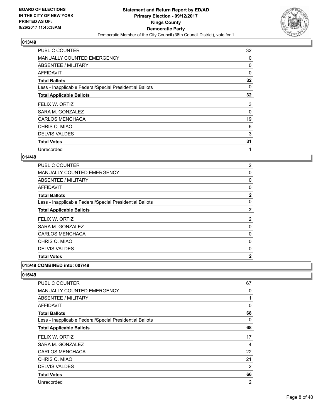

| <b>PUBLIC COUNTER</b>                                    | 32 |
|----------------------------------------------------------|----|
| <b>MANUALLY COUNTED EMERGENCY</b>                        | 0  |
| ABSENTEE / MILITARY                                      | 0  |
| AFFIDAVIT                                                | 0  |
| <b>Total Ballots</b>                                     | 32 |
| Less - Inapplicable Federal/Special Presidential Ballots | 0  |
| <b>Total Applicable Ballots</b>                          | 32 |
| FELIX W. ORTIZ                                           | 3  |
| SARA M. GONZALEZ                                         | 0  |
| <b>CARLOS MENCHACA</b>                                   | 19 |
| CHRIS Q. MIAO                                            | 6  |
| <b>DELVIS VALDES</b>                                     | 3  |
| <b>Total Votes</b>                                       | 31 |
| Unrecorded                                               | 1  |

## **014/49**

| <b>PUBLIC COUNTER</b>                                    | 2              |
|----------------------------------------------------------|----------------|
| MANUALLY COUNTED EMERGENCY                               | 0              |
| ABSENTEE / MILITARY                                      | 0              |
| AFFIDAVIT                                                | 0              |
| <b>Total Ballots</b>                                     | $\mathbf{2}$   |
| Less - Inapplicable Federal/Special Presidential Ballots | 0              |
| <b>Total Applicable Ballots</b>                          | $\mathbf{2}$   |
| FELIX W. ORTIZ                                           | 2              |
| SARA M. GONZALEZ                                         | 0              |
| <b>CARLOS MENCHACA</b>                                   | 0              |
| CHRIS Q. MIAO                                            | 0              |
| <b>DELVIS VALDES</b>                                     | 0              |
| <b>Total Votes</b>                                       | $\overline{2}$ |

#### **015/49 COMBINED into: 007/49**

| <b>PUBLIC COUNTER</b>                                    | 67             |
|----------------------------------------------------------|----------------|
| <b>MANUALLY COUNTED EMERGENCY</b>                        | 0              |
| ABSENTEE / MILITARY                                      | 1              |
| AFFIDAVIT                                                | 0              |
| <b>Total Ballots</b>                                     | 68             |
| Less - Inapplicable Federal/Special Presidential Ballots | 0              |
| <b>Total Applicable Ballots</b>                          | 68             |
| FELIX W. ORTIZ                                           | 17             |
| SARA M. GONZALEZ                                         | 4              |
| <b>CARLOS MENCHACA</b>                                   | 22             |
| CHRIS Q. MIAO                                            | 21             |
| <b>DELVIS VALDES</b>                                     | 2              |
| <b>Total Votes</b>                                       | 66             |
| Unrecorded                                               | $\overline{2}$ |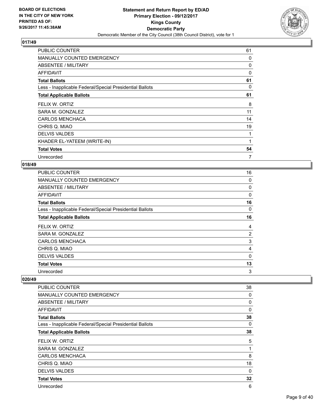

| <b>PUBLIC COUNTER</b>                                    | 61 |
|----------------------------------------------------------|----|
| <b>MANUALLY COUNTED EMERGENCY</b>                        | 0  |
| ABSENTEE / MILITARY                                      | 0  |
| AFFIDAVIT                                                | 0  |
| <b>Total Ballots</b>                                     | 61 |
| Less - Inapplicable Federal/Special Presidential Ballots | 0  |
| <b>Total Applicable Ballots</b>                          | 61 |
| FELIX W. ORTIZ                                           | 8  |
| SARA M. GONZALEZ                                         | 11 |
| <b>CARLOS MENCHACA</b>                                   | 14 |
| CHRIS Q. MIAO                                            | 19 |
| <b>DELVIS VALDES</b>                                     | 1  |
| KHADER EL-YATEEM (WRITE-IN)                              | 1  |
| <b>Total Votes</b>                                       | 54 |
| Unrecorded                                               | 7  |

#### **018/49**

| <b>PUBLIC COUNTER</b>                                    | 16 |
|----------------------------------------------------------|----|
| <b>MANUALLY COUNTED EMERGENCY</b>                        | 0  |
| ABSENTEE / MILITARY                                      | 0  |
| AFFIDAVIT                                                | 0  |
| <b>Total Ballots</b>                                     | 16 |
| Less - Inapplicable Federal/Special Presidential Ballots | 0  |
| <b>Total Applicable Ballots</b>                          | 16 |
| FELIX W. ORTIZ                                           | 4  |
| SARA M. GONZALEZ                                         | 2  |
| <b>CARLOS MENCHACA</b>                                   | 3  |
| CHRIS Q. MIAO                                            | 4  |
| <b>DELVIS VALDES</b>                                     | 0  |
| <b>Total Votes</b>                                       | 13 |
| Unrecorded                                               | 3  |

| PUBLIC COUNTER                                           | 38 |
|----------------------------------------------------------|----|
| MANUALLY COUNTED EMERGENCY                               | 0  |
| ABSENTEE / MILITARY                                      | 0  |
| AFFIDAVIT                                                | 0  |
| <b>Total Ballots</b>                                     | 38 |
| Less - Inapplicable Federal/Special Presidential Ballots | 0  |
| <b>Total Applicable Ballots</b>                          | 38 |
| FELIX W. ORTIZ                                           | 5  |
| SARA M. GONZALEZ                                         | 1  |
| <b>CARLOS MENCHACA</b>                                   | 8  |
| CHRIS Q. MIAO                                            | 18 |
| <b>DELVIS VALDES</b>                                     | 0  |
| <b>Total Votes</b>                                       | 32 |
| Unrecorded                                               | 6  |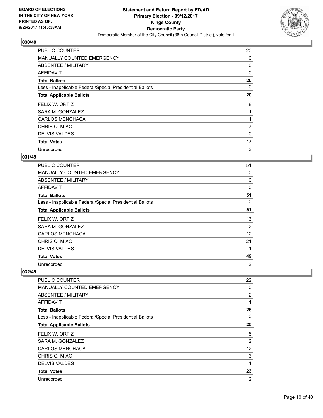

| <b>PUBLIC COUNTER</b>                                    | 20 |
|----------------------------------------------------------|----|
| MANUALLY COUNTED EMERGENCY                               | 0  |
| ABSENTEE / MILITARY                                      | 0  |
| <b>AFFIDAVIT</b>                                         | 0  |
| <b>Total Ballots</b>                                     | 20 |
| Less - Inapplicable Federal/Special Presidential Ballots | 0  |
| <b>Total Applicable Ballots</b>                          | 20 |
| FELIX W. ORTIZ                                           | 8  |
| SARA M. GONZALEZ                                         |    |
| <b>CARLOS MENCHACA</b>                                   |    |
| CHRIS Q. MIAO                                            | 7  |
| <b>DELVIS VALDES</b>                                     | 0  |
| <b>Total Votes</b>                                       | 17 |
| Unrecorded                                               | 3  |

## **031/49**

| <b>PUBLIC COUNTER</b>                                    | 51 |
|----------------------------------------------------------|----|
| <b>MANUALLY COUNTED EMERGENCY</b>                        | 0  |
| ABSENTEE / MILITARY                                      | 0  |
| AFFIDAVIT                                                | 0  |
| <b>Total Ballots</b>                                     | 51 |
| Less - Inapplicable Federal/Special Presidential Ballots | 0  |
| <b>Total Applicable Ballots</b>                          | 51 |
| FELIX W. ORTIZ                                           | 13 |
| SARA M. GONZALEZ                                         | 2  |
| <b>CARLOS MENCHACA</b>                                   | 12 |
| CHRIS Q. MIAO                                            | 21 |
| <b>DELVIS VALDES</b>                                     |    |
| <b>Total Votes</b>                                       | 49 |
| Unrecorded                                               | 2  |

| <b>PUBLIC COUNTER</b>                                    | 22             |
|----------------------------------------------------------|----------------|
| MANUALLY COUNTED EMERGENCY                               | 0              |
| ABSENTEE / MILITARY                                      | $\overline{2}$ |
| <b>AFFIDAVIT</b>                                         | 1              |
| <b>Total Ballots</b>                                     | 25             |
| Less - Inapplicable Federal/Special Presidential Ballots | 0              |
| <b>Total Applicable Ballots</b>                          | 25             |
| FELIX W. ORTIZ                                           | 5              |
| SARA M. GONZALEZ                                         | $\overline{2}$ |
| <b>CARLOS MENCHACA</b>                                   | 12             |
| CHRIS Q. MIAO                                            | 3              |
| <b>DELVIS VALDES</b>                                     | 1              |
| <b>Total Votes</b>                                       | 23             |
| Unrecorded                                               | $\overline{2}$ |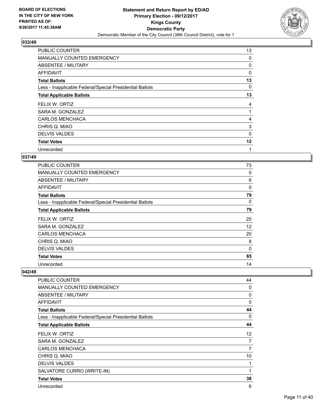

| <b>PUBLIC COUNTER</b>                                    | 13 |
|----------------------------------------------------------|----|
| <b>MANUALLY COUNTED EMERGENCY</b>                        | 0  |
| ABSENTEE / MILITARY                                      | 0  |
| AFFIDAVIT                                                | 0  |
| <b>Total Ballots</b>                                     | 13 |
| Less - Inapplicable Federal/Special Presidential Ballots | 0  |
| <b>Total Applicable Ballots</b>                          | 13 |
| FELIX W. ORTIZ                                           | 4  |
| SARA M. GONZALEZ                                         | 1  |
|                                                          |    |
| <b>CARLOS MENCHACA</b>                                   | 4  |
| CHRIS Q. MIAO                                            | 3  |
| <b>DELVIS VALDES</b>                                     | 0  |
| <b>Total Votes</b>                                       | 12 |

## **037/49**

| <b>PUBLIC COUNTER</b>                                    | 73 |
|----------------------------------------------------------|----|
| <b>MANUALLY COUNTED EMERGENCY</b>                        | 0  |
| ABSENTEE / MILITARY                                      | 6  |
| AFFIDAVIT                                                | 0  |
| <b>Total Ballots</b>                                     | 79 |
| Less - Inapplicable Federal/Special Presidential Ballots | 0  |
| <b>Total Applicable Ballots</b>                          | 79 |
| FELIX W. ORTIZ                                           | 25 |
| SARA M. GONZALEZ                                         | 12 |
| <b>CARLOS MENCHACA</b>                                   | 20 |
| CHRIS Q. MIAO                                            | 8  |
| <b>DELVIS VALDES</b>                                     | 0  |
| <b>Total Votes</b>                                       | 65 |
| Unrecorded                                               | 14 |

| PUBLIC COUNTER                                           | 44 |
|----------------------------------------------------------|----|
| <b>MANUALLY COUNTED EMERGENCY</b>                        | 0  |
| ABSENTEE / MILITARY                                      | 0  |
| <b>AFFIDAVIT</b>                                         | 0  |
| <b>Total Ballots</b>                                     | 44 |
| Less - Inapplicable Federal/Special Presidential Ballots | 0  |
| <b>Total Applicable Ballots</b>                          | 44 |
| FELIX W. ORTIZ                                           | 12 |
| SARA M. GONZALEZ                                         | 7  |
| <b>CARLOS MENCHACA</b>                                   | 7  |
| CHRIS Q. MIAO                                            | 10 |
| <b>DELVIS VALDES</b>                                     | 1  |
| SALVATORE CURRO (WRITE-IN)                               | 1  |
| <b>Total Votes</b>                                       | 38 |
| Unrecorded                                               | 6  |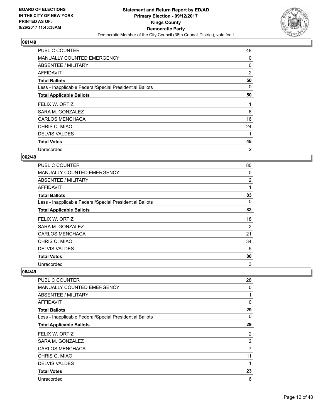

| <b>PUBLIC COUNTER</b>                                    | 48 |
|----------------------------------------------------------|----|
| <b>MANUALLY COUNTED EMERGENCY</b>                        | 0  |
| ABSENTEE / MILITARY                                      | 0  |
| AFFIDAVIT                                                | 2  |
| <b>Total Ballots</b>                                     | 50 |
| Less - Inapplicable Federal/Special Presidential Ballots | 0  |
| <b>Total Applicable Ballots</b>                          | 50 |
| FELIX W. ORTIZ                                           | 1  |
| SARA M. GONZALEZ                                         | 6  |
| <b>CARLOS MENCHACA</b>                                   | 16 |
| CHRIS Q. MIAO                                            | 24 |
|                                                          |    |
| <b>DELVIS VALDES</b>                                     |    |
| <b>Total Votes</b>                                       | 48 |

## **062/49**

| <b>PUBLIC COUNTER</b>                                    | 80 |
|----------------------------------------------------------|----|
| <b>MANUALLY COUNTED EMERGENCY</b>                        | 0  |
| ABSENTEE / MILITARY                                      | 2  |
| AFFIDAVIT                                                | 1  |
| <b>Total Ballots</b>                                     | 83 |
| Less - Inapplicable Federal/Special Presidential Ballots | 0  |
| <b>Total Applicable Ballots</b>                          | 83 |
| FELIX W. ORTIZ                                           | 18 |
| SARA M. GONZALEZ                                         | 2  |
| <b>CARLOS MENCHACA</b>                                   | 21 |
| CHRIS Q. MIAO                                            | 34 |
| <b>DELVIS VALDES</b>                                     | 5  |
| <b>Total Votes</b>                                       | 80 |
| Unrecorded                                               | 3  |

| <b>PUBLIC COUNTER</b>                                    | 28           |
|----------------------------------------------------------|--------------|
| MANUALLY COUNTED EMERGENCY                               | 0            |
| ABSENTEE / MILITARY                                      | $\mathbf{1}$ |
| <b>AFFIDAVIT</b>                                         | 0            |
| <b>Total Ballots</b>                                     | 29           |
| Less - Inapplicable Federal/Special Presidential Ballots | 0            |
| <b>Total Applicable Ballots</b>                          | 29           |
| FELIX W. ORTIZ                                           | 2            |
| SARA M. GONZALEZ                                         | 2            |
| <b>CARLOS MENCHACA</b>                                   | 7            |
| CHRIS Q. MIAO                                            | 11           |
| <b>DELVIS VALDES</b>                                     | 1            |
| <b>Total Votes</b>                                       | 23           |
| Unrecorded                                               | 6            |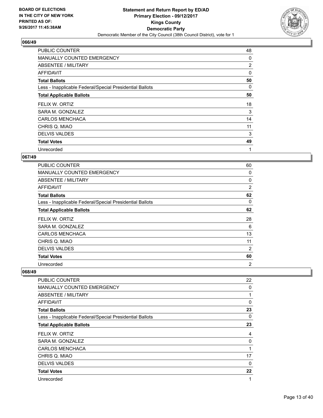

| <b>PUBLIC COUNTER</b>                                    | 48 |
|----------------------------------------------------------|----|
| <b>MANUALLY COUNTED EMERGENCY</b>                        | 0  |
| ABSENTEE / MILITARY                                      | 2  |
| AFFIDAVIT                                                | 0  |
| <b>Total Ballots</b>                                     | 50 |
| Less - Inapplicable Federal/Special Presidential Ballots | 0  |
| <b>Total Applicable Ballots</b>                          | 50 |
| FELIX W. ORTIZ                                           | 18 |
| SARA M. GONZALEZ                                         | 3  |
| <b>CARLOS MENCHACA</b>                                   | 14 |
| CHRIS Q. MIAO                                            | 11 |
| <b>DELVIS VALDES</b>                                     | 3  |
| <b>Total Votes</b>                                       | 49 |
| Unrecorded                                               | 1  |

## **067/49**

| <b>PUBLIC COUNTER</b>                                    | 60             |
|----------------------------------------------------------|----------------|
| <b>MANUALLY COUNTED EMERGENCY</b>                        | 0              |
| ABSENTEE / MILITARY                                      | 0              |
| AFFIDAVIT                                                | $\overline{2}$ |
| <b>Total Ballots</b>                                     | 62             |
| Less - Inapplicable Federal/Special Presidential Ballots | 0              |
| <b>Total Applicable Ballots</b>                          | 62             |
| FELIX W. ORTIZ                                           | 28             |
| SARA M. GONZALEZ                                         | 6              |
| <b>CARLOS MENCHACA</b>                                   | 13             |
| CHRIS Q. MIAO                                            | 11             |
| <b>DELVIS VALDES</b>                                     | 2              |
| <b>Total Votes</b>                                       | 60             |
|                                                          |                |

| PUBLIC COUNTER                                           | 22       |
|----------------------------------------------------------|----------|
| MANUALLY COUNTED EMERGENCY                               | 0        |
| ABSENTEE / MILITARY                                      | 1        |
| AFFIDAVIT                                                | 0        |
| <b>Total Ballots</b>                                     | 23       |
| Less - Inapplicable Federal/Special Presidential Ballots | 0        |
| <b>Total Applicable Ballots</b>                          | 23       |
| FELIX W. ORTIZ                                           | 4        |
| SARA M. GONZALEZ                                         | 0        |
|                                                          |          |
| <b>CARLOS MENCHACA</b>                                   | 1        |
| CHRIS Q. MIAO                                            | 17       |
| <b>DELVIS VALDES</b>                                     | $\Omega$ |
| <b>Total Votes</b>                                       | 22       |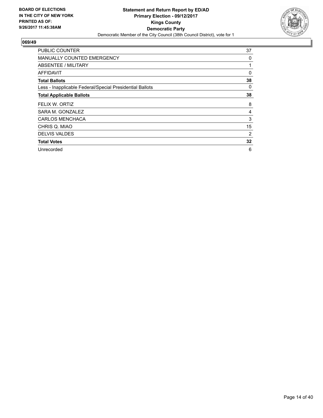

| <b>PUBLIC COUNTER</b>                                    | 37 |
|----------------------------------------------------------|----|
| MANUALLY COUNTED EMERGENCY                               | 0  |
| ABSENTEE / MILITARY                                      | 1  |
| <b>AFFIDAVIT</b>                                         | 0  |
| <b>Total Ballots</b>                                     | 38 |
| Less - Inapplicable Federal/Special Presidential Ballots | 0  |
| <b>Total Applicable Ballots</b>                          | 38 |
| FELIX W. ORTIZ                                           | 8  |
| SARA M. GONZALEZ                                         | 4  |
| <b>CARLOS MENCHACA</b>                                   | 3  |
| CHRIS Q. MIAO                                            | 15 |
| <b>DELVIS VALDES</b>                                     | 2  |
| <b>Total Votes</b>                                       | 32 |
| Unrecorded                                               | 6  |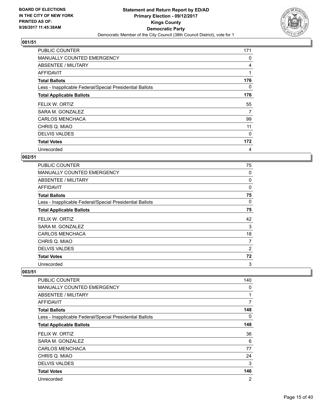

| <b>PUBLIC COUNTER</b>                                    | 171 |
|----------------------------------------------------------|-----|
| <b>MANUALLY COUNTED EMERGENCY</b>                        | 0   |
| ABSENTEE / MILITARY                                      | 4   |
| AFFIDAVIT                                                | 1   |
| <b>Total Ballots</b>                                     | 176 |
| Less - Inapplicable Federal/Special Presidential Ballots | 0   |
| <b>Total Applicable Ballots</b>                          | 176 |
| FELIX W. ORTIZ                                           | 55  |
| SARA M. GONZALEZ                                         | 7   |
| <b>CARLOS MENCHACA</b>                                   | 99  |
| CHRIS Q. MIAO                                            | 11  |
| <b>DELVIS VALDES</b>                                     | 0   |
| <b>Total Votes</b>                                       | 172 |
| Unrecorded                                               | 4   |

## **002/51**

| <b>PUBLIC COUNTER</b>                                    | 75       |
|----------------------------------------------------------|----------|
| <b>MANUALLY COUNTED EMERGENCY</b>                        | 0        |
| ABSENTEE / MILITARY                                      | 0        |
| AFFIDAVIT                                                | $\Omega$ |
| <b>Total Ballots</b>                                     | 75       |
| Less - Inapplicable Federal/Special Presidential Ballots | 0        |
| <b>Total Applicable Ballots</b>                          | 75       |
| FELIX W. ORTIZ                                           | 42       |
| SARA M. GONZALEZ                                         | 3        |
| <b>CARLOS MENCHACA</b>                                   | 18       |
| CHRIS Q. MIAO                                            | 7        |
| <b>DELVIS VALDES</b>                                     | 2        |
| <b>Total Votes</b>                                       | 72       |
| Unrecorded                                               | 3        |

| PUBLIC COUNTER                                           | 140            |
|----------------------------------------------------------|----------------|
| <b>MANUALLY COUNTED EMERGENCY</b>                        | 0              |
| ABSENTEE / MILITARY                                      | 1              |
| <b>AFFIDAVIT</b>                                         | 7              |
| <b>Total Ballots</b>                                     | 148            |
| Less - Inapplicable Federal/Special Presidential Ballots | 0              |
| <b>Total Applicable Ballots</b>                          | 148            |
| FELIX W. ORTIZ                                           | 36             |
| SARA M. GONZALEZ                                         | 6              |
| <b>CARLOS MENCHACA</b>                                   | 77             |
| CHRIS Q. MIAO                                            | 24             |
| <b>DELVIS VALDES</b>                                     | 3              |
| <b>Total Votes</b>                                       | 146            |
| Unrecorded                                               | $\overline{2}$ |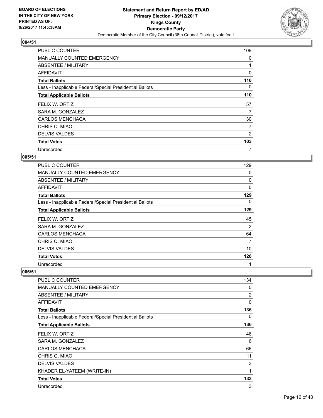

| <b>PUBLIC COUNTER</b>                                    | 109 |
|----------------------------------------------------------|-----|
| <b>MANUALLY COUNTED EMERGENCY</b>                        | 0   |
| ABSENTEE / MILITARY                                      |     |
| AFFIDAVIT                                                | 0   |
| <b>Total Ballots</b>                                     | 110 |
| Less - Inapplicable Federal/Special Presidential Ballots | 0   |
| <b>Total Applicable Ballots</b>                          | 110 |
| FELIX W. ORTIZ                                           | 57  |
| SARA M. GONZALEZ                                         | 7   |
| <b>CARLOS MENCHACA</b>                                   | 30  |
| CHRIS Q. MIAO                                            | 7   |
| <b>DELVIS VALDES</b>                                     | 2   |
| <b>Total Votes</b>                                       | 103 |
| Unrecorded                                               | 7   |

## **005/51**

| <b>PUBLIC COUNTER</b>                                    | 129         |
|----------------------------------------------------------|-------------|
| <b>MANUALLY COUNTED EMERGENCY</b>                        | 0           |
| ABSENTEE / MILITARY                                      | 0           |
| AFFIDAVIT                                                | $\mathbf 0$ |
| <b>Total Ballots</b>                                     | 129         |
| Less - Inapplicable Federal/Special Presidential Ballots | 0           |
| <b>Total Applicable Ballots</b>                          | 129         |
| FELIX W. ORTIZ                                           | 45          |
| SARA M. GONZALEZ                                         | 2           |
| <b>CARLOS MENCHACA</b>                                   | 64          |
| CHRIS Q. MIAO                                            | 7           |
| <b>DELVIS VALDES</b>                                     | 10          |
| <b>Total Votes</b>                                       | 128         |
| Unrecorded                                               | 1           |

| PUBLIC COUNTER                                           | 134            |
|----------------------------------------------------------|----------------|
| <b>MANUALLY COUNTED EMERGENCY</b>                        | 0              |
| <b>ABSENTEE / MILITARY</b>                               | $\overline{2}$ |
| <b>AFFIDAVIT</b>                                         | 0              |
| <b>Total Ballots</b>                                     | 136            |
| Less - Inapplicable Federal/Special Presidential Ballots | 0              |
| <b>Total Applicable Ballots</b>                          | 136            |
| FELIX W. ORTIZ                                           | 46             |
| SARA M. GONZALEZ                                         | 6              |
| <b>CARLOS MENCHACA</b>                                   | 66             |
| CHRIS Q. MIAO                                            | 11             |
| <b>DELVIS VALDES</b>                                     | 3              |
| KHADER EL-YATEEM (WRITE-IN)                              | 1              |
| <b>Total Votes</b>                                       | 133            |
| Unrecorded                                               | 3              |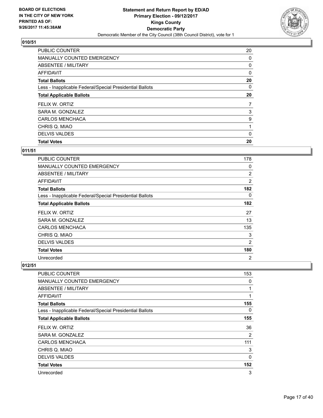

| <b>PUBLIC COUNTER</b>                                    | 20 |
|----------------------------------------------------------|----|
| <b>MANUALLY COUNTED EMERGENCY</b>                        | 0  |
| ABSENTEE / MILITARY                                      | 0  |
| <b>AFFIDAVIT</b>                                         | 0  |
| <b>Total Ballots</b>                                     | 20 |
| Less - Inapplicable Federal/Special Presidential Ballots | 0  |
| <b>Total Applicable Ballots</b>                          | 20 |
| FELIX W. ORTIZ                                           | 7  |
| SARA M. GONZALEZ                                         | 3  |
| <b>CARLOS MENCHACA</b>                                   | 9  |
| CHRIS Q. MIAO                                            | 1  |
| <b>DELVIS VALDES</b>                                     | 0  |
| <b>Total Votes</b>                                       | 20 |

## **011/51**

| PUBLIC COUNTER                                           | 178            |
|----------------------------------------------------------|----------------|
| <b>MANUALLY COUNTED EMERGENCY</b>                        | 0              |
| ABSENTEE / MILITARY                                      | $\overline{2}$ |
| <b>AFFIDAVIT</b>                                         | $\overline{2}$ |
| <b>Total Ballots</b>                                     | 182            |
| Less - Inapplicable Federal/Special Presidential Ballots | 0              |
| <b>Total Applicable Ballots</b>                          | 182            |
| FELIX W. ORTIZ                                           | 27             |
| SARA M. GONZALEZ                                         | 13             |
| <b>CARLOS MENCHACA</b>                                   | 135            |
| CHRIS Q. MIAO                                            | 3              |
| <b>DELVIS VALDES</b>                                     | 2              |
| <b>Total Votes</b>                                       | 180            |
| Unrecorded                                               | 2              |

| <b>PUBLIC COUNTER</b>                                    | 153 |
|----------------------------------------------------------|-----|
| <b>MANUALLY COUNTED EMERGENCY</b>                        | 0   |
| ABSENTEE / MILITARY                                      | 1   |
| <b>AFFIDAVIT</b>                                         | 1   |
| <b>Total Ballots</b>                                     | 155 |
| Less - Inapplicable Federal/Special Presidential Ballots | 0   |
| <b>Total Applicable Ballots</b>                          | 155 |
| FELIX W. ORTIZ                                           | 36  |
| SARA M. GONZALEZ                                         | 2   |
| <b>CARLOS MENCHACA</b>                                   | 111 |
| CHRIS Q. MIAO                                            | 3   |
| <b>DELVIS VALDES</b>                                     | 0   |
| <b>Total Votes</b>                                       | 152 |
| Unrecorded                                               | 3   |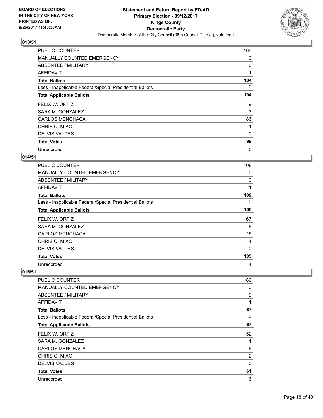

| <b>PUBLIC COUNTER</b>                                    | 103 |
|----------------------------------------------------------|-----|
| <b>MANUALLY COUNTED EMERGENCY</b>                        | 0   |
| ABSENTEE / MILITARY                                      | 0   |
| AFFIDAVIT                                                | 1   |
| <b>Total Ballots</b>                                     | 104 |
| Less - Inapplicable Federal/Special Presidential Ballots | 0   |
| <b>Total Applicable Ballots</b>                          | 104 |
| FELIX W. ORTIZ                                           | 9   |
| SARA M. GONZALEZ                                         | 3   |
| <b>CARLOS MENCHACA</b>                                   | 86  |
| CHRIS Q. MIAO                                            | 1   |
| <b>DELVIS VALDES</b>                                     | 0   |
| <b>Total Votes</b>                                       | 99  |
| Unrecorded                                               | 5   |

## **014/51**

| <b>PUBLIC COUNTER</b>                                    | 108 |
|----------------------------------------------------------|-----|
| <b>MANUALLY COUNTED EMERGENCY</b>                        | 0   |
| ABSENTEE / MILITARY                                      | 0   |
| <b>AFFIDAVIT</b>                                         | 1   |
| <b>Total Ballots</b>                                     | 109 |
| Less - Inapplicable Federal/Special Presidential Ballots | 0   |
| <b>Total Applicable Ballots</b>                          | 109 |
| FELIX W. ORTIZ                                           | 67  |
| SARA M. GONZALEZ                                         | 6   |
| <b>CARLOS MENCHACA</b>                                   | 18  |
| CHRIS Q. MIAO                                            | 14  |
| <b>DELVIS VALDES</b>                                     | 0   |
| <b>Total Votes</b>                                       | 105 |
| Unrecorded                                               | 4   |

| PUBLIC COUNTER                                           | 66             |
|----------------------------------------------------------|----------------|
| <b>MANUALLY COUNTED EMERGENCY</b>                        | 0              |
| ABSENTEE / MILITARY                                      | 0              |
| AFFIDAVIT                                                | 1              |
| <b>Total Ballots</b>                                     | 67             |
| Less - Inapplicable Federal/Special Presidential Ballots | 0              |
| <b>Total Applicable Ballots</b>                          | 67             |
| FELIX W. ORTIZ                                           | 52             |
| SARA M. GONZALEZ                                         | 1              |
| <b>CARLOS MENCHACA</b>                                   | 6              |
| CHRIS Q. MIAO                                            | $\overline{2}$ |
| <b>DELVIS VALDES</b>                                     | 0              |
| <b>Total Votes</b>                                       | 61             |
| Unrecorded                                               | 6              |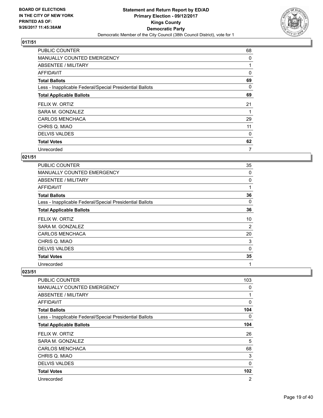

| <b>PUBLIC COUNTER</b>                                    | 68 |
|----------------------------------------------------------|----|
| <b>MANUALLY COUNTED EMERGENCY</b>                        | 0  |
| ABSENTEE / MILITARY                                      |    |
| AFFIDAVIT                                                | 0  |
| <b>Total Ballots</b>                                     | 69 |
| Less - Inapplicable Federal/Special Presidential Ballots | 0  |
| <b>Total Applicable Ballots</b>                          | 69 |
| FELIX W. ORTIZ                                           | 21 |
| SARA M. GONZALEZ                                         |    |
| <b>CARLOS MENCHACA</b>                                   | 29 |
| CHRIS Q. MIAO                                            | 11 |
| <b>DELVIS VALDES</b>                                     | 0  |
| <b>Total Votes</b>                                       | 62 |
| Unrecorded                                               | 7  |

## **021/51**

| <b>PUBLIC COUNTER</b>                                    | 35 |
|----------------------------------------------------------|----|
| <b>MANUALLY COUNTED EMERGENCY</b>                        | 0  |
| ABSENTEE / MILITARY                                      | 0  |
| AFFIDAVIT                                                | 1  |
| <b>Total Ballots</b>                                     | 36 |
| Less - Inapplicable Federal/Special Presidential Ballots | 0  |
| <b>Total Applicable Ballots</b>                          | 36 |
| FELIX W. ORTIZ                                           | 10 |
| SARA M. GONZALEZ                                         | 2  |
| <b>CARLOS MENCHACA</b>                                   | 20 |
| CHRIS Q. MIAO                                            | 3  |
| <b>DELVIS VALDES</b>                                     | 0  |
| <b>Total Votes</b>                                       | 35 |
| Unrecorded                                               | 1  |

| PUBLIC COUNTER                                           | 103            |
|----------------------------------------------------------|----------------|
| <b>MANUALLY COUNTED EMERGENCY</b>                        | 0              |
| ABSENTEE / MILITARY                                      | 1              |
| <b>AFFIDAVIT</b>                                         | $\mathbf 0$    |
| <b>Total Ballots</b>                                     | 104            |
| Less - Inapplicable Federal/Special Presidential Ballots | 0              |
| <b>Total Applicable Ballots</b>                          | 104            |
| FELIX W. ORTIZ                                           | 26             |
| SARA M. GONZALEZ                                         | 5              |
| <b>CARLOS MENCHACA</b>                                   | 68             |
| CHRIS Q. MIAO                                            | 3              |
| <b>DELVIS VALDES</b>                                     | 0              |
| <b>Total Votes</b>                                       | 102            |
| Unrecorded                                               | $\overline{2}$ |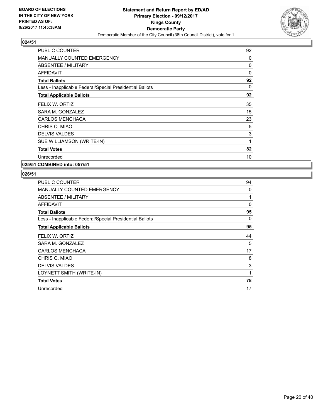

| 92       |
|----------|
| 0        |
| 0        |
| $\Omega$ |
| 92       |
| 0        |
| 92       |
| 35       |
| 15       |
| 23       |
| 5        |
| 3        |
| 1        |
| 82       |
| 10       |
|          |

**025/51 COMBINED into: 057/51**

| <b>PUBLIC COUNTER</b>                                    | 94 |
|----------------------------------------------------------|----|
| <b>MANUALLY COUNTED EMERGENCY</b>                        | 0  |
| ABSENTEE / MILITARY                                      | 1  |
| AFFIDAVIT                                                | 0  |
| <b>Total Ballots</b>                                     | 95 |
| Less - Inapplicable Federal/Special Presidential Ballots | 0  |
| <b>Total Applicable Ballots</b>                          | 95 |
| FELIX W. ORTIZ                                           | 44 |
| SARA M. GONZALEZ                                         | 5  |
| <b>CARLOS MENCHACA</b>                                   | 17 |
| CHRIS Q. MIAO                                            | 8  |
| <b>DELVIS VALDES</b>                                     | 3  |
| LOYNETT SMITH (WRITE-IN)                                 | 1  |
| <b>Total Votes</b>                                       | 78 |
| Unrecorded                                               | 17 |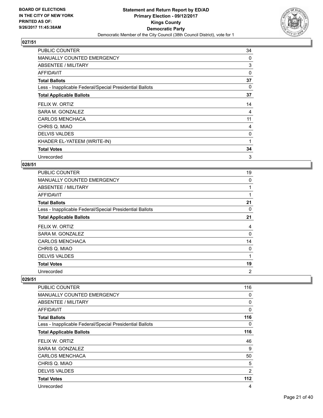

| <b>PUBLIC COUNTER</b>                                    | 34 |
|----------------------------------------------------------|----|
| <b>MANUALLY COUNTED EMERGENCY</b>                        | 0  |
| ABSENTEE / MILITARY                                      | 3  |
| <b>AFFIDAVIT</b>                                         | 0  |
| <b>Total Ballots</b>                                     | 37 |
| Less - Inapplicable Federal/Special Presidential Ballots | 0  |
| <b>Total Applicable Ballots</b>                          | 37 |
| FELIX W. ORTIZ                                           | 14 |
| SARA M. GONZALEZ                                         | 4  |
| <b>CARLOS MENCHACA</b>                                   | 11 |
| CHRIS Q. MIAO                                            | 4  |
| <b>DELVIS VALDES</b>                                     | 0  |
| KHADER EL-YATEEM (WRITE-IN)                              | 1  |
| <b>Total Votes</b>                                       | 34 |
| Unrecorded                                               | 3  |

## **028/51**

| <b>PUBLIC COUNTER</b>                                    | 19             |
|----------------------------------------------------------|----------------|
| MANUALLY COUNTED EMERGENCY                               | 0              |
| ABSENTEE / MILITARY                                      | 1              |
| AFFIDAVIT                                                | 1              |
| <b>Total Ballots</b>                                     | 21             |
| Less - Inapplicable Federal/Special Presidential Ballots | 0              |
| <b>Total Applicable Ballots</b>                          | 21             |
| FELIX W. ORTIZ                                           | 4              |
| SARA M. GONZALEZ                                         | 0              |
| <b>CARLOS MENCHACA</b>                                   | 14             |
| CHRIS Q. MIAO                                            | 0              |
| <b>DELVIS VALDES</b>                                     | 1              |
| <b>Total Votes</b>                                       | 19             |
| Unrecorded                                               | $\overline{2}$ |

| PUBLIC COUNTER                                           | 116            |
|----------------------------------------------------------|----------------|
| MANUALLY COUNTED EMERGENCY                               | 0              |
| ABSENTEE / MILITARY                                      | 0              |
| AFFIDAVIT                                                | 0              |
| <b>Total Ballots</b>                                     | 116            |
| Less - Inapplicable Federal/Special Presidential Ballots | 0              |
| <b>Total Applicable Ballots</b>                          | 116            |
| FELIX W. ORTIZ                                           | 46             |
| SARA M. GONZALEZ                                         | 9              |
| <b>CARLOS MENCHACA</b>                                   | 50             |
| CHRIS Q. MIAO                                            | 5              |
| <b>DELVIS VALDES</b>                                     | $\overline{2}$ |
| <b>Total Votes</b>                                       | 112            |
| Unrecorded                                               | 4              |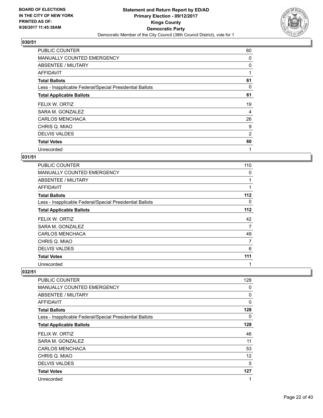

| <b>PUBLIC COUNTER</b>                                    | 60 |
|----------------------------------------------------------|----|
| MANUALLY COUNTED EMERGENCY                               | 0  |
| ABSENTEE / MILITARY                                      | 0  |
| AFFIDAVIT                                                |    |
| <b>Total Ballots</b>                                     | 61 |
| Less - Inapplicable Federal/Special Presidential Ballots | 0  |
| <b>Total Applicable Ballots</b>                          | 61 |
| FELIX W. ORTIZ                                           | 19 |
| SARA M. GONZALEZ                                         | 4  |
| <b>CARLOS MENCHACA</b>                                   | 26 |
| CHRIS Q. MIAO                                            | 9  |
| <b>DELVIS VALDES</b>                                     | 2  |
| <b>Total Votes</b>                                       | 60 |
| Unrecorded                                               | 1  |

## **031/51**

| <b>PUBLIC COUNTER</b>                                    | 110   |
|----------------------------------------------------------|-------|
| MANUALLY COUNTED EMERGENCY                               | 0     |
| ABSENTEE / MILITARY                                      |       |
| AFFIDAVIT                                                | 1     |
| <b>Total Ballots</b>                                     | 112   |
| Less - Inapplicable Federal/Special Presidential Ballots | 0     |
| <b>Total Applicable Ballots</b>                          | $112$ |
| FELIX W. ORTIZ                                           | 42    |
| SARA M. GONZALEZ                                         | 7     |
| <b>CARLOS MENCHACA</b>                                   | 49    |
| CHRIS Q. MIAO                                            | 7     |
| <b>DELVIS VALDES</b>                                     | 6     |
| <b>Total Votes</b>                                       | 111   |
| Unrecorded                                               | 1     |

| PUBLIC COUNTER                                           | 128 |
|----------------------------------------------------------|-----|
| <b>MANUALLY COUNTED EMERGENCY</b>                        | 0   |
| ABSENTEE / MILITARY                                      | 0   |
| AFFIDAVIT                                                | 0   |
| <b>Total Ballots</b>                                     | 128 |
| Less - Inapplicable Federal/Special Presidential Ballots | 0   |
| <b>Total Applicable Ballots</b>                          | 128 |
| FELIX W. ORTIZ                                           | 46  |
| SARA M. GONZALEZ                                         | 11  |
| <b>CARLOS MENCHACA</b>                                   | 53  |
| CHRIS Q. MIAO                                            | 12  |
| <b>DELVIS VALDES</b>                                     | 5   |
| <b>Total Votes</b>                                       | 127 |
| Unrecorded                                               | 1   |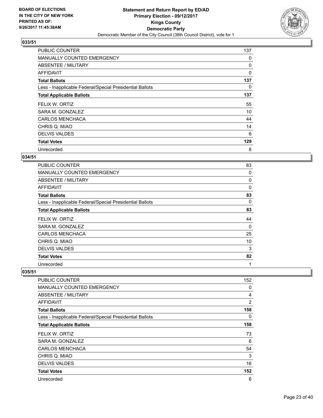

| <b>PUBLIC COUNTER</b>                                    | 137 |
|----------------------------------------------------------|-----|
| <b>MANUALLY COUNTED EMERGENCY</b>                        | 0   |
| ABSENTEE / MILITARY                                      | 0   |
| AFFIDAVIT                                                | 0   |
| <b>Total Ballots</b>                                     | 137 |
| Less - Inapplicable Federal/Special Presidential Ballots | 0   |
| <b>Total Applicable Ballots</b>                          | 137 |
| FELIX W. ORTIZ                                           | 55  |
| SARA M. GONZALEZ                                         | 10  |
| <b>CARLOS MENCHACA</b>                                   | 44  |
| CHRIS Q. MIAO                                            | 14  |
| <b>DELVIS VALDES</b>                                     | 6   |
| <b>Total Votes</b>                                       | 129 |
| Unrecorded                                               | 8   |

## **034/51**

| <b>PUBLIC COUNTER</b>                                    | 83       |
|----------------------------------------------------------|----------|
| <b>MANUALLY COUNTED EMERGENCY</b>                        | 0        |
| ABSENTEE / MILITARY                                      | 0        |
| AFFIDAVIT                                                | $\Omega$ |
| <b>Total Ballots</b>                                     | 83       |
| Less - Inapplicable Federal/Special Presidential Ballots | 0        |
| <b>Total Applicable Ballots</b>                          | 83       |
| FELIX W. ORTIZ                                           | 44       |
| SARA M. GONZALEZ                                         | $\Omega$ |
| <b>CARLOS MENCHACA</b>                                   | 25       |
| CHRIS Q. MIAO                                            | 10       |
| <b>DELVIS VALDES</b>                                     | 3        |
| <b>Total Votes</b>                                       | 82       |
| Unrecorded                                               | 1        |

| <b>PUBLIC COUNTER</b>                                    | 152            |
|----------------------------------------------------------|----------------|
|                                                          |                |
| MANUALLY COUNTED EMERGENCY                               | 0              |
| ABSENTEE / MILITARY                                      | 4              |
| <b>AFFIDAVIT</b>                                         | $\overline{2}$ |
| <b>Total Ballots</b>                                     | 158            |
| Less - Inapplicable Federal/Special Presidential Ballots | 0              |
| <b>Total Applicable Ballots</b>                          | 158            |
| FELIX W. ORTIZ                                           | 73             |
| SARA M. GONZALEZ                                         | 6              |
| <b>CARLOS MENCHACA</b>                                   | 54             |
| CHRIS Q. MIAO                                            | 3              |
| <b>DELVIS VALDES</b>                                     | 16             |
| <b>Total Votes</b>                                       | 152            |
| Unrecorded                                               | 6              |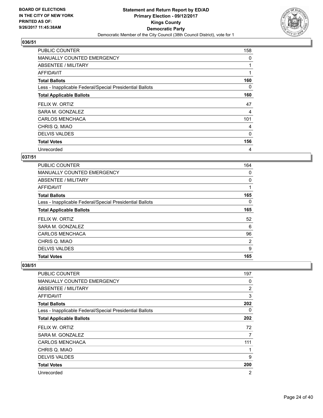

| <b>PUBLIC COUNTER</b>                                    | 158      |
|----------------------------------------------------------|----------|
| MANUALLY COUNTED EMERGENCY                               | 0        |
| ABSENTEE / MILITARY                                      |          |
| <b>AFFIDAVIT</b>                                         | 1        |
| <b>Total Ballots</b>                                     | 160      |
| Less - Inapplicable Federal/Special Presidential Ballots | 0        |
| <b>Total Applicable Ballots</b>                          | 160      |
| FELIX W. ORTIZ                                           | 47       |
| SARA M. GONZALEZ                                         | 4        |
| <b>CARLOS MENCHACA</b>                                   | 101      |
| CHRIS Q. MIAO                                            | 4        |
| <b>DELVIS VALDES</b>                                     | $\Omega$ |
| <b>Total Votes</b>                                       | 156      |
| Unrecorded                                               | 4        |

## **037/51**

| <b>Total Votes</b>                                       | 165 |
|----------------------------------------------------------|-----|
| <b>DELVIS VALDES</b>                                     | 9   |
| CHRIS Q. MIAO                                            | 2   |
| <b>CARLOS MENCHACA</b>                                   | 96  |
| SARA M. GONZALEZ                                         | 6   |
| FELIX W. ORTIZ                                           | 52  |
| <b>Total Applicable Ballots</b>                          | 165 |
| Less - Inapplicable Federal/Special Presidential Ballots | 0   |
| <b>Total Ballots</b>                                     | 165 |
| <b>AFFIDAVIT</b>                                         | 1   |
| ABSENTEE / MILITARY                                      | 0   |
| <b>MANUALLY COUNTED EMERGENCY</b>                        | 0   |
| <b>PUBLIC COUNTER</b>                                    | 164 |

| <b>PUBLIC COUNTER</b>                                    | 197            |
|----------------------------------------------------------|----------------|
| MANUALLY COUNTED EMERGENCY                               | 0              |
| ABSENTEE / MILITARY                                      | $\overline{2}$ |
| <b>AFFIDAVIT</b>                                         | 3              |
| <b>Total Ballots</b>                                     | 202            |
| Less - Inapplicable Federal/Special Presidential Ballots | 0              |
| <b>Total Applicable Ballots</b>                          | 202            |
| FELIX W. ORTIZ                                           | 72             |
| SARA M. GONZALEZ                                         | 7              |
| <b>CARLOS MENCHACA</b>                                   | 111            |
| CHRIS Q. MIAO                                            | 1              |
| <b>DELVIS VALDES</b>                                     | 9              |
| <b>Total Votes</b>                                       | 200            |
| Unrecorded                                               | $\overline{2}$ |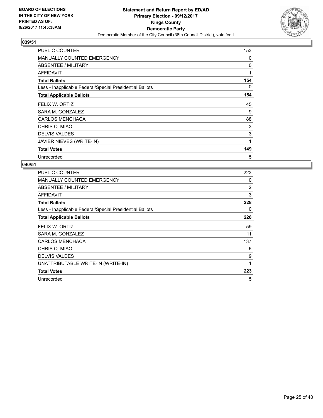

| <b>PUBLIC COUNTER</b>                                    | 153 |
|----------------------------------------------------------|-----|
| <b>MANUALLY COUNTED EMERGENCY</b>                        | 0   |
| ABSENTEE / MILITARY                                      | 0   |
| AFFIDAVIT                                                | 1   |
| <b>Total Ballots</b>                                     | 154 |
| Less - Inapplicable Federal/Special Presidential Ballots | 0   |
| <b>Total Applicable Ballots</b>                          | 154 |
| FELIX W. ORTIZ                                           | 45  |
| SARA M. GONZALEZ                                         | 9   |
| <b>CARLOS MENCHACA</b>                                   | 88  |
| CHRIS Q. MIAO                                            | 3   |
| <b>DELVIS VALDES</b>                                     | 3   |
| JAVIER NIEVES (WRITE-IN)                                 | 1   |
| <b>Total Votes</b>                                       | 149 |
| Unrecorded                                               | 5   |

| PUBLIC COUNTER                                           | 223 |
|----------------------------------------------------------|-----|
| <b>MANUALLY COUNTED EMERGENCY</b>                        | 0   |
| <b>ABSENTEE / MILITARY</b>                               | 2   |
| AFFIDAVIT                                                | 3   |
| <b>Total Ballots</b>                                     | 228 |
| Less - Inapplicable Federal/Special Presidential Ballots | 0   |
| <b>Total Applicable Ballots</b>                          | 228 |
| FELIX W. ORTIZ                                           | 59  |
| SARA M. GONZALEZ                                         | 11  |
| <b>CARLOS MENCHACA</b>                                   | 137 |
| CHRIS Q. MIAO                                            | 6   |
| <b>DELVIS VALDES</b>                                     | 9   |
| UNATTRIBUTABLE WRITE-IN (WRITE-IN)                       | 1   |
| <b>Total Votes</b>                                       | 223 |
| Unrecorded                                               | 5   |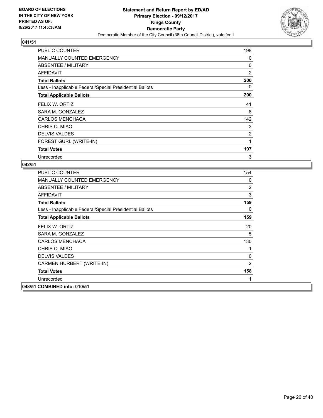

| <b>PUBLIC COUNTER</b>                                    | 198 |
|----------------------------------------------------------|-----|
| <b>MANUALLY COUNTED EMERGENCY</b>                        | 0   |
| ABSENTEE / MILITARY                                      | 0   |
| AFFIDAVIT                                                | 2   |
| <b>Total Ballots</b>                                     | 200 |
| Less - Inapplicable Federal/Special Presidential Ballots | 0   |
| <b>Total Applicable Ballots</b>                          | 200 |
| FELIX W. ORTIZ                                           | 41  |
| SARA M. GONZALEZ                                         | 8   |
| <b>CARLOS MENCHACA</b>                                   | 142 |
| CHRIS Q. MIAO                                            | 3   |
| <b>DELVIS VALDES</b>                                     | 2   |
| FOREST GURL (WRITE-IN)                                   | 1   |
| <b>Total Votes</b>                                       | 197 |
| Unrecorded                                               | 3   |

| <b>PUBLIC COUNTER</b>                                    | 154            |
|----------------------------------------------------------|----------------|
| <b>MANUALLY COUNTED EMERGENCY</b>                        | 0              |
| ABSENTEE / MILITARY                                      | $\overline{2}$ |
| AFFIDAVIT                                                | 3              |
| <b>Total Ballots</b>                                     | 159            |
| Less - Inapplicable Federal/Special Presidential Ballots | 0              |
| <b>Total Applicable Ballots</b>                          | 159            |
| FELIX W. ORTIZ                                           | 20             |
| SARA M. GONZALEZ                                         | 5              |
| <b>CARLOS MENCHACA</b>                                   | 130            |
| CHRIS Q. MIAO                                            | 1              |
| <b>DELVIS VALDES</b>                                     | 0              |
| CARMEN HURBERT (WRITE-IN)                                | 2              |
| <b>Total Votes</b>                                       | 158            |
| Unrecorded                                               | 1              |
| 048/51 COMBINED into: 010/51                             |                |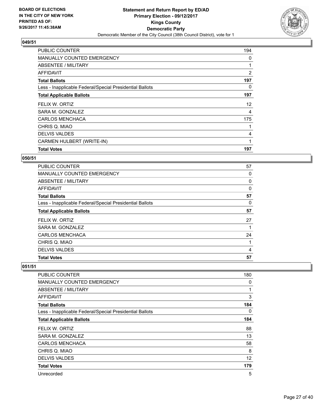

| <b>PUBLIC COUNTER</b>                                    | 194               |
|----------------------------------------------------------|-------------------|
| <b>MANUALLY COUNTED EMERGENCY</b>                        | 0                 |
| ABSENTEE / MILITARY                                      |                   |
| AFFIDAVIT                                                | 2                 |
| <b>Total Ballots</b>                                     | 197               |
| Less - Inapplicable Federal/Special Presidential Ballots | 0                 |
| <b>Total Applicable Ballots</b>                          | 197               |
| FELIX W. ORTIZ                                           | $12 \overline{ }$ |
| SARA M. GONZALEZ                                         | 4                 |
| <b>CARLOS MENCHACA</b>                                   | 175               |
| CHRIS Q. MIAO                                            |                   |
| <b>DELVIS VALDES</b>                                     | 4                 |
| CARMEN HULBERT (WRITE-IN)                                | 1                 |
| <b>Total Votes</b>                                       | 197               |

#### **050/51**

| <b>PUBLIC COUNTER</b>                                    | 57 |
|----------------------------------------------------------|----|
| <b>MANUALLY COUNTED EMERGENCY</b>                        | 0  |
| ABSENTEE / MILITARY                                      | 0  |
| AFFIDAVIT                                                | 0  |
| <b>Total Ballots</b>                                     | 57 |
| Less - Inapplicable Federal/Special Presidential Ballots | 0  |
| <b>Total Applicable Ballots</b>                          | 57 |
| FELIX W. ORTIZ                                           | 27 |
| SARA M. GONZALEZ                                         |    |
| <b>CARLOS MENCHACA</b>                                   | 24 |
| CHRIS Q. MIAO                                            | 1  |
| <b>DELVIS VALDES</b>                                     | 4  |
| <b>Total Votes</b>                                       | 57 |

| <b>PUBLIC COUNTER</b>                                    | 180 |
|----------------------------------------------------------|-----|
| MANUALLY COUNTED EMERGENCY                               | 0   |
| <b>ABSENTEE / MILITARY</b>                               | 1   |
| <b>AFFIDAVIT</b>                                         | 3   |
| <b>Total Ballots</b>                                     | 184 |
| Less - Inapplicable Federal/Special Presidential Ballots | 0   |
| <b>Total Applicable Ballots</b>                          | 184 |
| FELIX W. ORTIZ                                           | 88  |
| SARA M. GONZALEZ                                         | 13  |
| <b>CARLOS MENCHACA</b>                                   | 58  |
| CHRIS Q. MIAO                                            | 8   |
| <b>DELVIS VALDES</b>                                     | 12  |
| <b>Total Votes</b>                                       | 179 |
| Unrecorded                                               | 5   |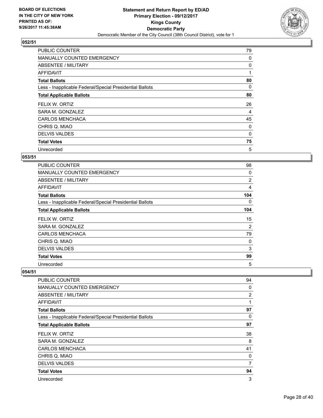

| <b>PUBLIC COUNTER</b>                                    | 79 |
|----------------------------------------------------------|----|
| <b>MANUALLY COUNTED EMERGENCY</b>                        | 0  |
| ABSENTEE / MILITARY                                      | 0  |
| AFFIDAVIT                                                | 1  |
| <b>Total Ballots</b>                                     | 80 |
| Less - Inapplicable Federal/Special Presidential Ballots | 0  |
| <b>Total Applicable Ballots</b>                          | 80 |
| FELIX W. ORTIZ                                           | 26 |
| SARA M. GONZALEZ                                         | 4  |
| <b>CARLOS MENCHACA</b>                                   | 45 |
| CHRIS Q. MIAO                                            | 0  |
| <b>DELVIS VALDES</b>                                     | 0  |
| <b>Total Votes</b>                                       | 75 |
| Unrecorded                                               | 5  |

## **053/51**

| <b>PUBLIC COUNTER</b>                                    | 98  |
|----------------------------------------------------------|-----|
| <b>MANUALLY COUNTED EMERGENCY</b>                        | 0   |
| ABSENTEE / MILITARY                                      | 2   |
| AFFIDAVIT                                                | 4   |
| <b>Total Ballots</b>                                     | 104 |
| Less - Inapplicable Federal/Special Presidential Ballots | 0   |
| <b>Total Applicable Ballots</b>                          | 104 |
| FELIX W. ORTIZ                                           | 15  |
| SARA M. GONZALEZ                                         | 2   |
| <b>CARLOS MENCHACA</b>                                   | 79  |
| CHRIS Q. MIAO                                            | 0   |
| <b>DELVIS VALDES</b>                                     | 3   |
| <b>Total Votes</b>                                       | 99  |
| Unrecorded                                               | 5   |

| PUBLIC COUNTER                                           | 94             |
|----------------------------------------------------------|----------------|
| <b>MANUALLY COUNTED EMERGENCY</b>                        | 0              |
| ABSENTEE / MILITARY                                      | $\overline{2}$ |
| AFFIDAVIT                                                | 1              |
| <b>Total Ballots</b>                                     | 97             |
| Less - Inapplicable Federal/Special Presidential Ballots | 0              |
| <b>Total Applicable Ballots</b>                          | 97             |
| FELIX W. ORTIZ                                           | 38             |
| SARA M. GONZALEZ                                         | 8              |
| <b>CARLOS MENCHACA</b>                                   | 41             |
| CHRIS Q. MIAO                                            | 0              |
| <b>DELVIS VALDES</b>                                     | 7              |
| <b>Total Votes</b>                                       | 94             |
| Unrecorded                                               | 3              |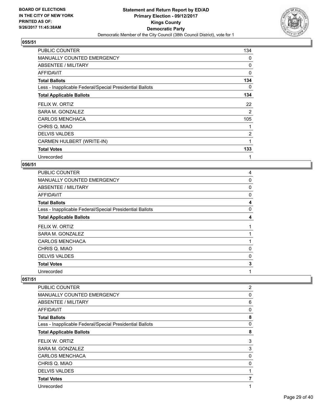

| <b>PUBLIC COUNTER</b>                                    | 134            |
|----------------------------------------------------------|----------------|
| <b>MANUALLY COUNTED EMERGENCY</b>                        | 0              |
| ABSENTEE / MILITARY                                      | 0              |
| <b>AFFIDAVIT</b>                                         | $\Omega$       |
| <b>Total Ballots</b>                                     | 134            |
| Less - Inapplicable Federal/Special Presidential Ballots | 0              |
| <b>Total Applicable Ballots</b>                          | 134            |
| FELIX W. ORTIZ                                           | 22             |
| SARA M. GONZALEZ                                         | 2              |
| <b>CARLOS MENCHACA</b>                                   | 105            |
| CHRIS Q. MIAO                                            | 1              |
| <b>DELVIS VALDES</b>                                     | $\overline{2}$ |
| CARMEN HULBERT (WRITE-IN)                                | 1              |
| <b>Total Votes</b>                                       | 133            |
| Unrecorded                                               | 1              |

# **056/51**

| <b>PUBLIC COUNTER</b>                                    | 4 |
|----------------------------------------------------------|---|
| MANUALLY COUNTED EMERGENCY                               | 0 |
| ABSENTEE / MILITARY                                      | 0 |
| AFFIDAVIT                                                | 0 |
| <b>Total Ballots</b>                                     | 4 |
| Less - Inapplicable Federal/Special Presidential Ballots | 0 |
| <b>Total Applicable Ballots</b>                          | 4 |
| FELIX W. ORTIZ                                           | 1 |
| SARA M. GONZALEZ                                         |   |
| <b>CARLOS MENCHACA</b>                                   |   |
| CHRIS Q. MIAO                                            | 0 |
| <b>DELVIS VALDES</b>                                     | 0 |
| <b>Total Votes</b>                                       | 3 |
| Unrecorded                                               | 1 |

| PUBLIC COUNTER                                           | $\overline{2}$ |
|----------------------------------------------------------|----------------|
| <b>MANUALLY COUNTED EMERGENCY</b>                        | 0              |
| ABSENTEE / MILITARY                                      | 6              |
| <b>AFFIDAVIT</b>                                         | $\Omega$       |
| <b>Total Ballots</b>                                     | 8              |
| Less - Inapplicable Federal/Special Presidential Ballots | 0              |
| <b>Total Applicable Ballots</b>                          | 8              |
| FELIX W. ORTIZ                                           | 3              |
| SARA M. GONZALEZ                                         | 3              |
| <b>CARLOS MENCHACA</b>                                   | 0              |
| CHRIS Q. MIAO                                            | 0              |
| <b>DELVIS VALDES</b>                                     |                |
| <b>Total Votes</b>                                       |                |
| Unrecorded                                               |                |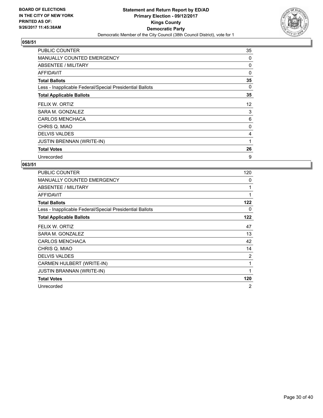

| <b>PUBLIC COUNTER</b>                                    | 35 |
|----------------------------------------------------------|----|
| <b>MANUALLY COUNTED EMERGENCY</b>                        | 0  |
| ABSENTEE / MILITARY                                      | 0  |
| AFFIDAVIT                                                | 0  |
| <b>Total Ballots</b>                                     | 35 |
| Less - Inapplicable Federal/Special Presidential Ballots | 0  |
| <b>Total Applicable Ballots</b>                          | 35 |
| FELIX W. ORTIZ                                           | 12 |
| SARA M. GONZALEZ                                         | 3  |
| <b>CARLOS MENCHACA</b>                                   | 6  |
| CHRIS Q. MIAO                                            | 0  |
| <b>DELVIS VALDES</b>                                     | 4  |
| JUSTIN BRENNAN (WRITE-IN)                                | 1  |
| <b>Total Votes</b>                                       | 26 |
| Unrecorded                                               | 9  |

| <b>PUBLIC COUNTER</b>                                    | 120 |
|----------------------------------------------------------|-----|
| <b>MANUALLY COUNTED EMERGENCY</b>                        | 0   |
| ABSENTEE / MILITARY                                      | 1   |
| <b>AFFIDAVIT</b>                                         | 1   |
| <b>Total Ballots</b>                                     | 122 |
| Less - Inapplicable Federal/Special Presidential Ballots | 0   |
| <b>Total Applicable Ballots</b>                          | 122 |
| FELIX W. ORTIZ                                           | 47  |
| SARA M. GONZALEZ                                         | 13  |
| <b>CARLOS MENCHACA</b>                                   | 42  |
| CHRIS Q. MIAO                                            | 14  |
| <b>DELVIS VALDES</b>                                     | 2   |
| CARMEN HULBERT (WRITE-IN)                                | 1   |
| <b>JUSTIN BRANNAN (WRITE-IN)</b>                         | 1   |
| <b>Total Votes</b>                                       | 120 |
| Unrecorded                                               | 2   |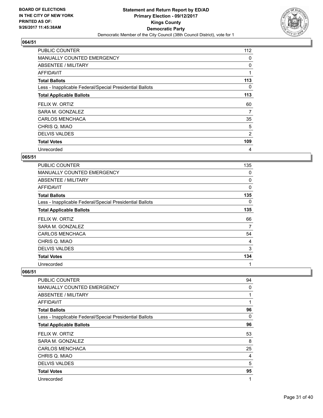

| <b>PUBLIC COUNTER</b>                                    | 112            |
|----------------------------------------------------------|----------------|
| <b>MANUALLY COUNTED EMERGENCY</b>                        | 0              |
| ABSENTEE / MILITARY                                      | 0              |
| AFFIDAVIT                                                | 1              |
| <b>Total Ballots</b>                                     | 113            |
| Less - Inapplicable Federal/Special Presidential Ballots | 0              |
| <b>Total Applicable Ballots</b>                          | 113            |
| FELIX W. ORTIZ                                           | 60             |
| SARA M. GONZALEZ                                         | 7              |
| <b>CARLOS MENCHACA</b>                                   | 35             |
| CHRIS Q. MIAO                                            | 5              |
| <b>DELVIS VALDES</b>                                     | $\overline{2}$ |
| <b>Total Votes</b>                                       | 109            |
| Unrecorded                                               | 4              |

## **065/51**

| <b>PUBLIC COUNTER</b>                                    | 135      |
|----------------------------------------------------------|----------|
| <b>MANUALLY COUNTED EMERGENCY</b>                        | 0        |
| ABSENTEE / MILITARY                                      | 0        |
| AFFIDAVIT                                                | $\Omega$ |
| <b>Total Ballots</b>                                     | 135      |
| Less - Inapplicable Federal/Special Presidential Ballots | 0        |
| <b>Total Applicable Ballots</b>                          | 135      |
| FELIX W. ORTIZ                                           | 66       |
| SARA M. GONZALEZ                                         | 7        |
| <b>CARLOS MENCHACA</b>                                   | 54       |
| CHRIS Q. MIAO                                            | 4        |
| <b>DELVIS VALDES</b>                                     | 3        |
| <b>Total Votes</b>                                       | 134      |
| Unrecorded                                               | 1        |

| <b>PUBLIC COUNTER</b>                                    | 94           |
|----------------------------------------------------------|--------------|
| <b>MANUALLY COUNTED EMERGENCY</b>                        | 0            |
| ABSENTEE / MILITARY                                      | $\mathbf{1}$ |
| AFFIDAVIT                                                | 1            |
| <b>Total Ballots</b>                                     | 96           |
| Less - Inapplicable Federal/Special Presidential Ballots | 0            |
| <b>Total Applicable Ballots</b>                          | 96           |
| FELIX W. ORTIZ                                           | 53           |
| SARA M. GONZALEZ                                         | 8            |
| <b>CARLOS MENCHACA</b>                                   | 25           |
| CHRIS Q. MIAO                                            | 4            |
| <b>DELVIS VALDES</b>                                     | 5            |
| <b>Total Votes</b>                                       | 95           |
| Unrecorded                                               | 1            |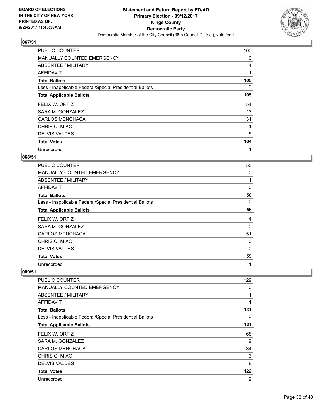

| <b>PUBLIC COUNTER</b>                                    | 100 |
|----------------------------------------------------------|-----|
| MANUALLY COUNTED EMERGENCY                               | 0   |
| ABSENTEE / MILITARY                                      | 4   |
| AFFIDAVIT                                                | 1   |
| <b>Total Ballots</b>                                     | 105 |
| Less - Inapplicable Federal/Special Presidential Ballots | 0   |
| <b>Total Applicable Ballots</b>                          | 105 |
| FELIX W. ORTIZ                                           | 54  |
| SARA M. GONZALEZ                                         | 13  |
| <b>CARLOS MENCHACA</b>                                   | 31  |
| CHRIS Q. MIAO                                            | 1   |
| <b>DELVIS VALDES</b>                                     | 5   |
| <b>Total Votes</b>                                       | 104 |
| Unrecorded                                               | 1   |

## **068/51**

| <b>PUBLIC COUNTER</b>                                    | 55       |
|----------------------------------------------------------|----------|
| <b>MANUALLY COUNTED EMERGENCY</b>                        | 0        |
| ABSENTEE / MILITARY                                      |          |
| AFFIDAVIT                                                | 0        |
| <b>Total Ballots</b>                                     | 56       |
| Less - Inapplicable Federal/Special Presidential Ballots | 0        |
| <b>Total Applicable Ballots</b>                          | 56       |
| FELIX W. ORTIZ                                           | 4        |
| SARA M. GONZALEZ                                         | 0        |
| <b>CARLOS MENCHACA</b>                                   | 51       |
| CHRIS Q. MIAO                                            | 0        |
| <b>DELVIS VALDES</b>                                     | $\Omega$ |
| <b>Total Votes</b>                                       | 55       |
|                                                          |          |

| PUBLIC COUNTER                                           | 129 |
|----------------------------------------------------------|-----|
| MANUALLY COUNTED EMERGENCY                               | 0   |
| ABSENTEE / MILITARY                                      | 1   |
| AFFIDAVIT                                                | 1   |
| <b>Total Ballots</b>                                     | 131 |
| Less - Inapplicable Federal/Special Presidential Ballots | 0   |
| <b>Total Applicable Ballots</b>                          | 131 |
| FELIX W. ORTIZ                                           | 68  |
| SARA M. GONZALEZ                                         | 9   |
| <b>CARLOS MENCHACA</b>                                   | 34  |
| CHRIS Q. MIAO                                            | 3   |
| <b>DELVIS VALDES</b>                                     | 8   |
| <b>Total Votes</b>                                       | 122 |
| Unrecorded                                               | 9   |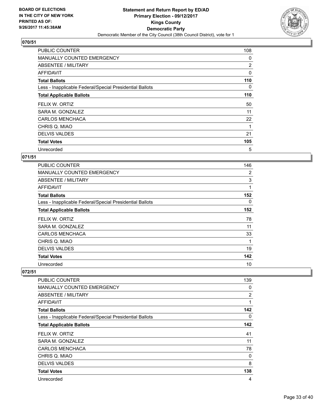

| <b>PUBLIC COUNTER</b>                                    | 108 |
|----------------------------------------------------------|-----|
| <b>MANUALLY COUNTED EMERGENCY</b>                        | 0   |
| ABSENTEE / MILITARY                                      | 2   |
| AFFIDAVIT                                                | 0   |
| <b>Total Ballots</b>                                     | 110 |
| Less - Inapplicable Federal/Special Presidential Ballots | 0   |
| <b>Total Applicable Ballots</b>                          | 110 |
| FELIX W. ORTIZ                                           | 50  |
| SARA M. GONZALEZ                                         | 11  |
| <b>CARLOS MENCHACA</b>                                   | 22  |
| CHRIS Q. MIAO                                            | 1   |
| <b>DELVIS VALDES</b>                                     | 21  |
| <b>Total Votes</b>                                       | 105 |
| Unrecorded                                               | 5   |

## **071/51**

| <b>PUBLIC COUNTER</b>                                    | 146 |
|----------------------------------------------------------|-----|
| <b>MANUALLY COUNTED EMERGENCY</b>                        | 2   |
| ABSENTEE / MILITARY                                      | 3   |
| <b>AFFIDAVIT</b>                                         | 1   |
| <b>Total Ballots</b>                                     | 152 |
| Less - Inapplicable Federal/Special Presidential Ballots | 0   |
| <b>Total Applicable Ballots</b>                          | 152 |
| FELIX W. ORTIZ                                           | 78  |
| SARA M. GONZALEZ                                         | 11  |
| <b>CARLOS MENCHACA</b>                                   | 33  |
| CHRIS Q. MIAO                                            | 1   |
| <b>DELVIS VALDES</b>                                     | 19  |
| <b>Total Votes</b>                                       | 142 |
| Unrecorded                                               | 10  |

| <b>PUBLIC COUNTER</b>                                    | 139 |
|----------------------------------------------------------|-----|
| MANUALLY COUNTED EMERGENCY                               | 0   |
| ABSENTEE / MILITARY                                      | 2   |
| AFFIDAVIT                                                | 1   |
| <b>Total Ballots</b>                                     | 142 |
| Less - Inapplicable Federal/Special Presidential Ballots | 0   |
| <b>Total Applicable Ballots</b>                          | 142 |
| FELIX W. ORTIZ                                           | 41  |
| SARA M. GONZALEZ                                         | 11  |
| <b>CARLOS MENCHACA</b>                                   | 78  |
| CHRIS Q. MIAO                                            | 0   |
| <b>DELVIS VALDES</b>                                     | 8   |
| <b>Total Votes</b>                                       | 138 |
| Unrecorded                                               | 4   |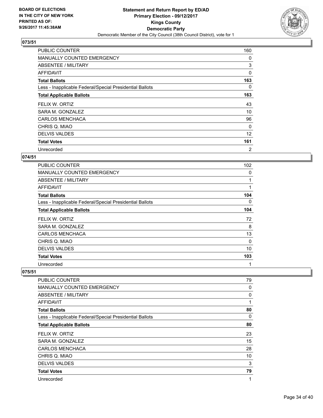

| <b>PUBLIC COUNTER</b>                                    | 160            |
|----------------------------------------------------------|----------------|
| <b>MANUALLY COUNTED EMERGENCY</b>                        | 0              |
| ABSENTEE / MILITARY                                      | 3              |
| AFFIDAVIT                                                | 0              |
| <b>Total Ballots</b>                                     | 163            |
| Less - Inapplicable Federal/Special Presidential Ballots | 0              |
| <b>Total Applicable Ballots</b>                          | 163            |
| FELIX W. ORTIZ                                           | 43             |
| SARA M. GONZALEZ                                         | 10             |
| <b>CARLOS MENCHACA</b>                                   | 96             |
| CHRIS Q. MIAO                                            | $\Omega$       |
| <b>DELVIS VALDES</b>                                     | 12             |
| <b>Total Votes</b>                                       | 161            |
| Unrecorded                                               | $\overline{2}$ |

## **074/51**

| <b>PUBLIC COUNTER</b>                                    | 102      |
|----------------------------------------------------------|----------|
| <b>MANUALLY COUNTED EMERGENCY</b>                        | 0        |
| <b>ABSENTEE / MILITARY</b>                               |          |
| <b>AFFIDAVIT</b>                                         | 1        |
| <b>Total Ballots</b>                                     | 104      |
| Less - Inapplicable Federal/Special Presidential Ballots | 0        |
| <b>Total Applicable Ballots</b>                          | 104      |
| FELIX W. ORTIZ                                           | 72       |
| SARA M. GONZALEZ                                         | 8        |
| <b>CARLOS MENCHACA</b>                                   | 13       |
| CHRIS Q. MIAO                                            | $\Omega$ |
| <b>DELVIS VALDES</b>                                     | 10       |
| <b>Total Votes</b>                                       | 103      |
| Unrecorded                                               | 1        |

| PUBLIC COUNTER                                           | 79 |
|----------------------------------------------------------|----|
| MANUALLY COUNTED EMERGENCY                               | 0  |
| ABSENTEE / MILITARY                                      | 0  |
| <b>AFFIDAVIT</b>                                         | 1  |
| <b>Total Ballots</b>                                     | 80 |
| Less - Inapplicable Federal/Special Presidential Ballots | 0  |
| <b>Total Applicable Ballots</b>                          | 80 |
| FELIX W. ORTIZ                                           | 23 |
| SARA M. GONZALEZ                                         | 15 |
| <b>CARLOS MENCHACA</b>                                   | 28 |
| CHRIS Q. MIAO                                            | 10 |
| <b>DELVIS VALDES</b>                                     | 3  |
| <b>Total Votes</b>                                       | 79 |
| Unrecorded                                               | 1  |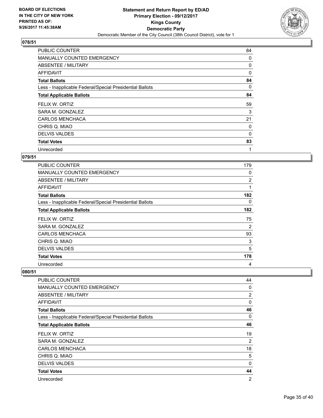

| <b>PUBLIC COUNTER</b>                                    | 84       |
|----------------------------------------------------------|----------|
| <b>MANUALLY COUNTED EMERGENCY</b>                        | 0        |
| ABSENTEE / MILITARY                                      | 0        |
| AFFIDAVIT                                                | 0        |
| <b>Total Ballots</b>                                     | 84       |
| Less - Inapplicable Federal/Special Presidential Ballots | 0        |
| <b>Total Applicable Ballots</b>                          | 84       |
| FELIX W. ORTIZ                                           | 59       |
| SARA M. GONZALEZ                                         | 3        |
| <b>CARLOS MENCHACA</b>                                   | 21       |
| CHRIS Q. MIAO                                            | 0        |
| <b>DELVIS VALDES</b>                                     | $\Omega$ |
| <b>Total Votes</b>                                       | 83       |
| Unrecorded                                               | 1        |

## **079/51**

| <b>PUBLIC COUNTER</b>                                    | 179            |
|----------------------------------------------------------|----------------|
| <b>MANUALLY COUNTED EMERGENCY</b>                        | 0              |
| ABSENTEE / MILITARY                                      | $\overline{2}$ |
| AFFIDAVIT                                                | 1              |
| <b>Total Ballots</b>                                     | 182            |
| Less - Inapplicable Federal/Special Presidential Ballots | 0              |
| <b>Total Applicable Ballots</b>                          | 182            |
| FELIX W. ORTIZ                                           | 75             |
| SARA M. GONZALEZ                                         | 2              |
| <b>CARLOS MENCHACA</b>                                   | 93             |
| CHRIS Q. MIAO                                            | 3              |
| <b>DELVIS VALDES</b>                                     | 5              |
| <b>Total Votes</b>                                       | 178            |
| Unrecorded                                               | 4              |

| PUBLIC COUNTER                                           | 44             |
|----------------------------------------------------------|----------------|
| <b>MANUALLY COUNTED EMERGENCY</b>                        | 0              |
| ABSENTEE / MILITARY                                      | 2              |
| <b>AFFIDAVIT</b>                                         | 0              |
| <b>Total Ballots</b>                                     | 46             |
| Less - Inapplicable Federal/Special Presidential Ballots | 0              |
| <b>Total Applicable Ballots</b>                          | 46             |
| FELIX W. ORTIZ                                           | 19             |
| SARA M. GONZALEZ                                         | 2              |
| <b>CARLOS MENCHACA</b>                                   | 18             |
| CHRIS Q. MIAO                                            | 5              |
| <b>DELVIS VALDES</b>                                     | 0              |
| <b>Total Votes</b>                                       | 44             |
| Unrecorded                                               | $\overline{2}$ |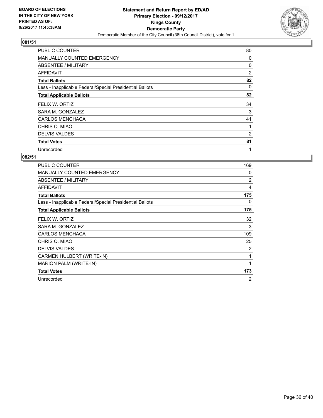

| <b>PUBLIC COUNTER</b>                                    | 80             |
|----------------------------------------------------------|----------------|
| <b>MANUALLY COUNTED EMERGENCY</b>                        | 0              |
| ABSENTEE / MILITARY                                      | 0              |
| AFFIDAVIT                                                | $\overline{2}$ |
| <b>Total Ballots</b>                                     | 82             |
| Less - Inapplicable Federal/Special Presidential Ballots | 0              |
| <b>Total Applicable Ballots</b>                          | 82             |
| FELIX W. ORTIZ                                           | 34             |
| SARA M. GONZALEZ                                         | 3              |
| <b>CARLOS MENCHACA</b>                                   | 41             |
| CHRIS Q. MIAO                                            | 1              |
| <b>DELVIS VALDES</b>                                     | 2              |
| <b>Total Votes</b>                                       | 81             |
| Unrecorded                                               | 1              |

| <b>PUBLIC COUNTER</b>                                    | 169          |
|----------------------------------------------------------|--------------|
| <b>MANUALLY COUNTED EMERGENCY</b>                        | 0            |
| ABSENTEE / MILITARY                                      | 2            |
| <b>AFFIDAVIT</b>                                         | 4            |
| <b>Total Ballots</b>                                     | 175          |
| Less - Inapplicable Federal/Special Presidential Ballots | 0            |
| <b>Total Applicable Ballots</b>                          | 175          |
| FELIX W. ORTIZ                                           | 32           |
| SARA M. GONZALEZ                                         | 3            |
| <b>CARLOS MENCHACA</b>                                   | 109          |
| CHRIS Q. MIAO                                            | 25           |
| <b>DELVIS VALDES</b>                                     | 2            |
| CARMEN HULBERT (WRITE-IN)                                | 1            |
| <b>MARION PALM (WRITE-IN)</b>                            | $\mathbf{1}$ |
| <b>Total Votes</b>                                       | 173          |
| Unrecorded                                               | 2            |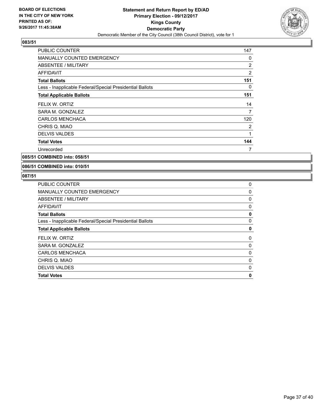

| <b>PUBLIC COUNTER</b>                                    | 147            |
|----------------------------------------------------------|----------------|
| <b>MANUALLY COUNTED EMERGENCY</b>                        | 0              |
| ABSENTEE / MILITARY                                      | $\overline{2}$ |
| <b>AFFIDAVIT</b>                                         | $\overline{2}$ |
| <b>Total Ballots</b>                                     | 151            |
| Less - Inapplicable Federal/Special Presidential Ballots | 0              |
| <b>Total Applicable Ballots</b>                          | 151            |
| FELIX W. ORTIZ                                           | 14             |
| SARA M. GONZALEZ                                         | 7              |
| <b>CARLOS MENCHACA</b>                                   | 120            |
| CHRIS Q. MIAO                                            | 2              |
| <b>DELVIS VALDES</b>                                     | 1              |
| <b>Total Votes</b>                                       | 144            |
| Unrecorded                                               | 7              |
|                                                          |                |

**085/51 COMBINED into: 058/51**

**086/51 COMBINED into: 010/51**

| <b>Total Votes</b>                                       | 0 |
|----------------------------------------------------------|---|
| <b>DELVIS VALDES</b>                                     | 0 |
| CHRIS Q. MIAO                                            | 0 |
| <b>CARLOS MENCHACA</b>                                   | 0 |
| SARA M. GONZALEZ                                         | 0 |
| FELIX W. ORTIZ                                           | 0 |
| <b>Total Applicable Ballots</b>                          | 0 |
| Less - Inapplicable Federal/Special Presidential Ballots | 0 |
| <b>Total Ballots</b>                                     | 0 |
| AFFIDAVIT                                                | 0 |
| ABSENTEE / MILITARY                                      | 0 |
| MANUALLY COUNTED EMERGENCY                               | 0 |
| <b>PUBLIC COUNTER</b>                                    | 0 |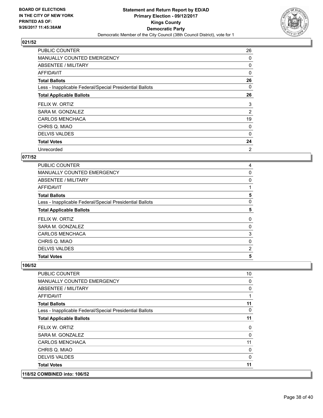

| <b>PUBLIC COUNTER</b>                                    | 26       |
|----------------------------------------------------------|----------|
| <b>MANUALLY COUNTED EMERGENCY</b>                        | 0        |
| ABSENTEE / MILITARY                                      | 0        |
| AFFIDAVIT                                                | 0        |
| <b>Total Ballots</b>                                     | 26       |
| Less - Inapplicable Federal/Special Presidential Ballots | 0        |
| <b>Total Applicable Ballots</b>                          | 26       |
| FELIX W. ORTIZ                                           | 3        |
| SARA M. GONZALEZ                                         | 2        |
| <b>CARLOS MENCHACA</b>                                   | 19       |
| CHRIS Q. MIAO                                            | 0        |
| <b>DELVIS VALDES</b>                                     | $\Omega$ |
| <b>Total Votes</b>                                       | 24       |
| Unrecorded                                               | 2        |

## **077/52**

| <b>Total Votes</b>                                       | 5        |
|----------------------------------------------------------|----------|
| <b>DELVIS VALDES</b>                                     | 2        |
| CHRIS Q. MIAO                                            | 0        |
| <b>CARLOS MENCHACA</b>                                   | 3        |
| SARA M. GONZALEZ                                         | 0        |
| FELIX W. ORTIZ                                           | $\Omega$ |
| <b>Total Applicable Ballots</b>                          | 5        |
| Less - Inapplicable Federal/Special Presidential Ballots | 0        |
| <b>Total Ballots</b>                                     | 5        |
| AFFIDAVIT                                                |          |
| ABSENTEE / MILITARY                                      | 0        |
| MANUALLY COUNTED EMERGENCY                               | 0        |
| <b>PUBLIC COUNTER</b>                                    | 4        |

| 118/52 COMBINED into: 106/52                             |    |
|----------------------------------------------------------|----|
| <b>Total Votes</b>                                       | 11 |
| <b>DELVIS VALDES</b>                                     | 0  |
| CHRIS Q. MIAO                                            | 0  |
| <b>CARLOS MENCHACA</b>                                   | 11 |
| SARA M. GONZALEZ                                         | 0  |
| FELIX W. ORTIZ                                           | 0  |
| <b>Total Applicable Ballots</b>                          | 11 |
| Less - Inapplicable Federal/Special Presidential Ballots | 0  |
| <b>Total Ballots</b>                                     | 11 |
| <b>AFFIDAVIT</b>                                         | 1  |
| ABSENTEE / MILITARY                                      | 0  |
| <b>MANUALLY COUNTED EMERGENCY</b>                        | 0  |
| <b>PUBLIC COUNTER</b>                                    | 10 |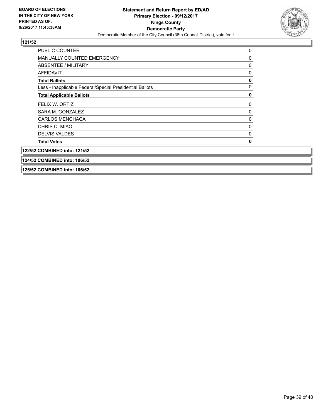

| <b>PUBLIC COUNTER</b>                                    | 0 |
|----------------------------------------------------------|---|
| <b>MANUALLY COUNTED EMERGENCY</b>                        | 0 |
| ABSENTEE / MILITARY                                      | 0 |
| <b>AFFIDAVIT</b>                                         | 0 |
| <b>Total Ballots</b>                                     | 0 |
| Less - Inapplicable Federal/Special Presidential Ballots | 0 |
| <b>Total Applicable Ballots</b>                          | 0 |
| FELIX W. ORTIZ                                           | 0 |
| SARA M. GONZALEZ                                         | 0 |
| <b>CARLOS MENCHACA</b>                                   | 0 |
| CHRIS Q. MIAO                                            | 0 |
| <b>DELVIS VALDES</b>                                     | 0 |
| <b>Total Votes</b>                                       | O |
| 122/52 COMBINED into: 121/52                             |   |
| 124/52 COMBINED into: 106/52                             |   |
| 125/52 COMBINED into: 106/52                             |   |